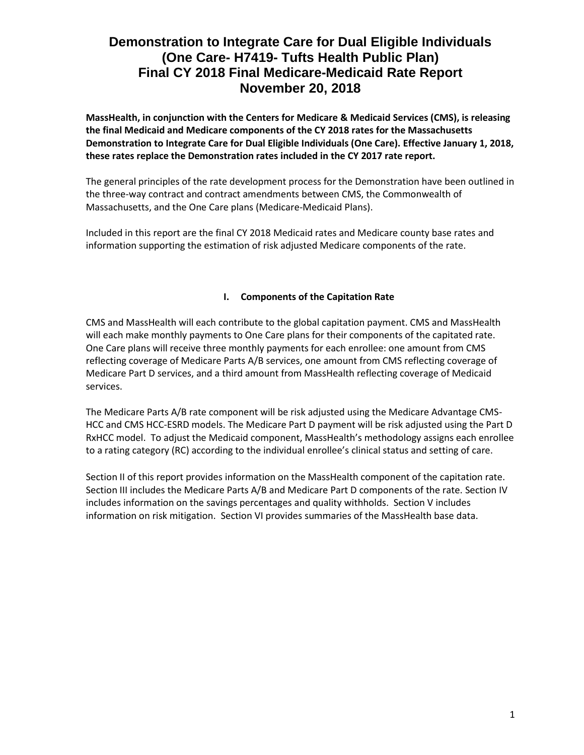**MassHealth, in conjunction with the Centers for Medicare & Medicaid Services (CMS), is releasing the final Medicaid and Medicare components of the CY 2018 rates for the Massachusetts Demonstration to Integrate Care for Dual Eligible Individuals (One Care). Effective January 1, 2018, these rates replace the Demonstration rates included in the CY 2017 rate report.**

The general principles of the rate development process for the Demonstration have been outlined in the three-way contract and contract amendments between CMS, the Commonwealth of Massachusetts, and the One Care plans (Medicare-Medicaid Plans).

Included in this report are the final CY 2018 Medicaid rates and Medicare county base rates and information supporting the estimation of risk adjusted Medicare components of the rate.

### **I. Components of the Capitation Rate**

CMS and MassHealth will each contribute to the global capitation payment. CMS and MassHealth will each make monthly payments to One Care plans for their components of the capitated rate. One Care plans will receive three monthly payments for each enrollee: one amount from CMS reflecting coverage of Medicare Parts A/B services, one amount from CMS reflecting coverage of Medicare Part D services, and a third amount from MassHealth reflecting coverage of Medicaid services.

The Medicare Parts A/B rate component will be risk adjusted using the Medicare Advantage CMS-HCC and CMS HCC-ESRD models. The Medicare Part D payment will be risk adjusted using the Part D RxHCC model. To adjust the Medicaid component, MassHealth's methodology assigns each enrollee to a rating category (RC) according to the individual enrollee's clinical status and setting of care.

Section II of this report provides information on the MassHealth component of the capitation rate. Section III includes the Medicare Parts A/B and Medicare Part D components of the rate. Section IV includes information on the savings percentages and quality withholds. Section V includes information on risk mitigation. Section VI provides summaries of the MassHealth base data.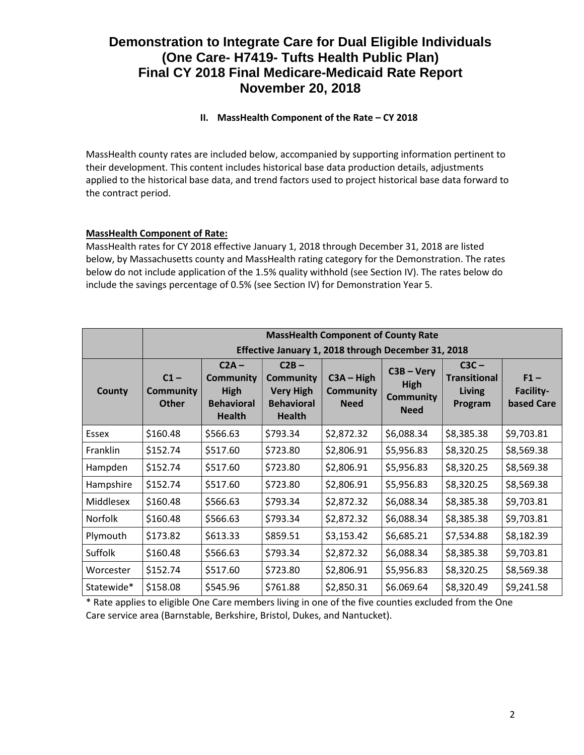# **II. MassHealth Component of the Rate – CY 2018**

MassHealth county rates are included below, accompanied by supporting information pertinent to their development. This content includes historical base data production details, adjustments applied to the historical base data, and trend factors used to project historical base data forward to the contract period.

# **MassHealth Component of Rate:**

MassHealth rates for CY 2018 effective January 1, 2018 through December 31, 2018 are listed below, by Massachusetts county and MassHealth rating category for the Demonstration. The rates below do not include application of the 1.5% quality withhold (see Section IV). The rates below do include the savings percentage of 0.5% (see Section IV) for Demonstration Year 5.

|                | <b>MassHealth Component of County Rate</b>          |                                                                           |                                                                                |                                                 |                                                                |                                                            |                                          |
|----------------|-----------------------------------------------------|---------------------------------------------------------------------------|--------------------------------------------------------------------------------|-------------------------------------------------|----------------------------------------------------------------|------------------------------------------------------------|------------------------------------------|
|                | Effective January 1, 2018 through December 31, 2018 |                                                                           |                                                                                |                                                 |                                                                |                                                            |                                          |
| County         | $C1 -$<br><b>Community</b><br><b>Other</b>          | $C2A -$<br><b>Community</b><br>High<br><b>Behavioral</b><br><b>Health</b> | $C2B -$<br>Community<br><b>Very High</b><br><b>Behavioral</b><br><b>Health</b> | $C3A - High$<br><b>Community</b><br><b>Need</b> | $C3B - Very$<br><b>High</b><br><b>Community</b><br><b>Need</b> | $C3C -$<br><b>Transitional</b><br><b>Living</b><br>Program | $F1 -$<br>Facility-<br><b>based Care</b> |
| Essex          | \$160.48                                            | \$566.63                                                                  | \$793.34                                                                       | \$2,872.32                                      | \$6,088.34                                                     | \$8,385.38                                                 | \$9,703.81                               |
| Franklin       | \$152.74                                            | \$517.60                                                                  | \$723.80                                                                       | \$2,806.91                                      | \$5,956.83                                                     | \$8,320.25                                                 | \$8,569.38                               |
| Hampden        | \$152.74                                            | \$517.60                                                                  | \$723.80                                                                       | \$2,806.91                                      | \$5,956.83                                                     | \$8,320.25                                                 | \$8,569.38                               |
| Hampshire      | \$152.74                                            | \$517.60                                                                  | \$723.80                                                                       | \$2,806.91                                      | \$5,956.83                                                     | \$8,320.25                                                 | \$8,569.38                               |
| Middlesex      | \$160.48                                            | \$566.63                                                                  | \$793.34                                                                       | \$2,872.32                                      | \$6,088.34                                                     | \$8,385.38                                                 | \$9,703.81                               |
| <b>Norfolk</b> | \$160.48                                            | \$566.63                                                                  | \$793.34                                                                       | \$2,872.32                                      | \$6,088.34                                                     | \$8,385.38                                                 | \$9,703.81                               |
| Plymouth       | \$173.82                                            | \$613.33                                                                  | \$859.51                                                                       | \$3,153.42                                      | \$6,685.21                                                     | \$7,534.88                                                 | \$8,182.39                               |
| <b>Suffolk</b> | \$160.48                                            | \$566.63                                                                  | \$793.34                                                                       | \$2,872.32                                      | \$6,088.34                                                     | \$8,385.38                                                 | \$9,703.81                               |
| Worcester      | \$152.74                                            | \$517.60                                                                  | \$723.80                                                                       | \$2,806.91                                      | \$5,956.83                                                     | \$8,320.25                                                 | \$8,569.38                               |
| Statewide*     | \$158.08                                            | \$545.96                                                                  | \$761.88                                                                       | \$2,850.31                                      | \$6.069.64                                                     | \$8,320.49                                                 | \$9,241.58                               |

\* Rate applies to eligible One Care members living in one of the five counties excluded from the One Care service area (Barnstable, Berkshire, Bristol, Dukes, and Nantucket).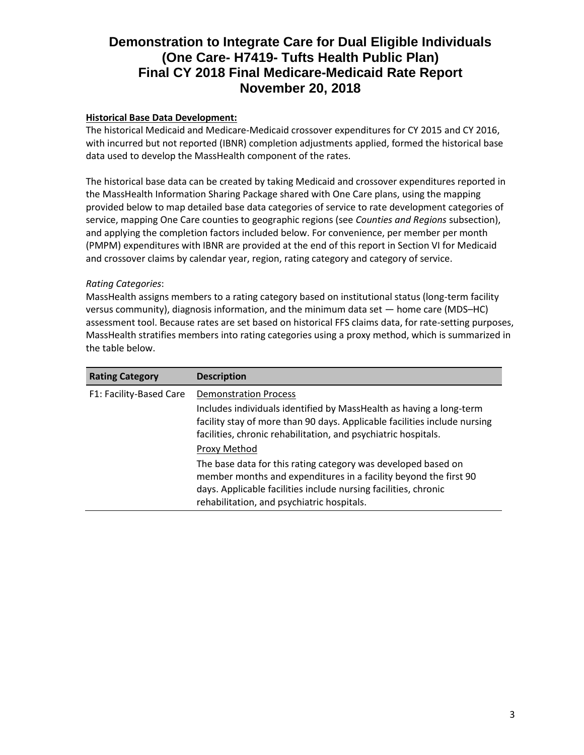# **Historical Base Data Development:**

The historical Medicaid and Medicare-Medicaid crossover expenditures for CY 2015 and CY 2016, with incurred but not reported (IBNR) completion adjustments applied, formed the historical base data used to develop the MassHealth component of the rates.

The historical base data can be created by taking Medicaid and crossover expenditures reported in the MassHealth Information Sharing Package shared with One Care plans, using the mapping provided below to map detailed base data categories of service to rate development categories of service, mapping One Care counties to geographic regions (see *Counties and Regions* subsection), and applying the completion factors included below. For convenience, per member per month (PMPM) expenditures with IBNR are provided at the end of this report in Section VI for Medicaid and crossover claims by calendar year, region, rating category and category of service.

#### *Rating Categories*:

MassHealth assigns members to a rating category based on institutional status (long-term facility versus community), diagnosis information, and the minimum data set — home care (MDS–HC) assessment tool. Because rates are set based on historical FFS claims data, for rate-setting purposes, MassHealth stratifies members into rating categories using a proxy method, which is summarized in the table below.

| <b>Rating Category</b>  | <b>Description</b>                                                                                                                                                                                                                                 |
|-------------------------|----------------------------------------------------------------------------------------------------------------------------------------------------------------------------------------------------------------------------------------------------|
| F1: Facility-Based Care | <b>Demonstration Process</b><br>Includes individuals identified by MassHealth as having a long-term                                                                                                                                                |
|                         | facility stay of more than 90 days. Applicable facilities include nursing<br>facilities, chronic rehabilitation, and psychiatric hospitals.                                                                                                        |
|                         | Proxy Method                                                                                                                                                                                                                                       |
|                         | The base data for this rating category was developed based on<br>member months and expenditures in a facility beyond the first 90<br>days. Applicable facilities include nursing facilities, chronic<br>rehabilitation, and psychiatric hospitals. |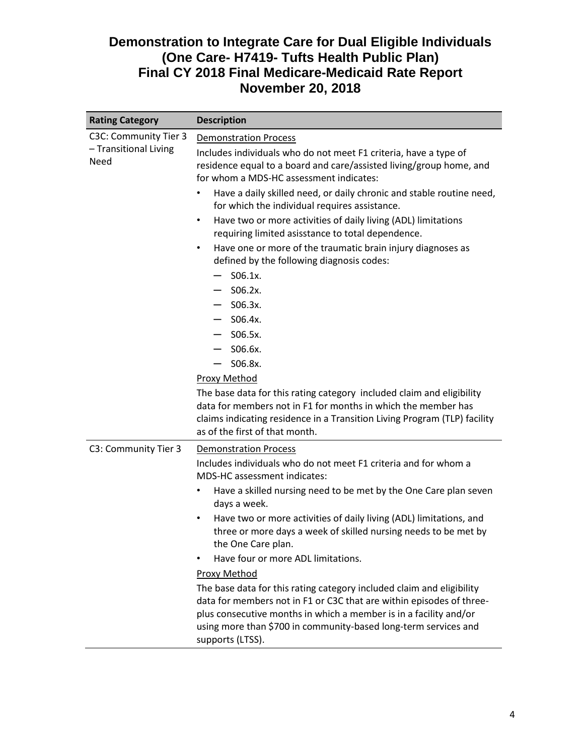| <b>Rating Category</b>        | <b>Description</b>                                                                                                                                                                                                                                                                                        |  |  |  |
|-------------------------------|-----------------------------------------------------------------------------------------------------------------------------------------------------------------------------------------------------------------------------------------------------------------------------------------------------------|--|--|--|
| C3C: Community Tier 3         | <b>Demonstration Process</b>                                                                                                                                                                                                                                                                              |  |  |  |
| - Transitional Living<br>Need | Includes individuals who do not meet F1 criteria, have a type of<br>residence equal to a board and care/assisted living/group home, and<br>for whom a MDS-HC assessment indicates:                                                                                                                        |  |  |  |
|                               | Have a daily skilled need, or daily chronic and stable routine need,<br>for which the individual requires assistance.                                                                                                                                                                                     |  |  |  |
|                               | Have two or more activities of daily living (ADL) limitations<br>$\bullet$<br>requiring limited asisstance to total dependence.                                                                                                                                                                           |  |  |  |
|                               | Have one or more of the traumatic brain injury diagnoses as<br>$\bullet$<br>defined by the following diagnosis codes:<br>$S06.1x$ .<br>$-$ S06.2x.                                                                                                                                                        |  |  |  |
|                               | $-$ S06.3x.                                                                                                                                                                                                                                                                                               |  |  |  |
|                               | S06.4x.                                                                                                                                                                                                                                                                                                   |  |  |  |
|                               | $-$ S06.5x.                                                                                                                                                                                                                                                                                               |  |  |  |
|                               | $-$ S06.6x.                                                                                                                                                                                                                                                                                               |  |  |  |
|                               | S06.8x.                                                                                                                                                                                                                                                                                                   |  |  |  |
|                               | <b>Proxy Method</b>                                                                                                                                                                                                                                                                                       |  |  |  |
|                               | The base data for this rating category included claim and eligibility<br>data for members not in F1 for months in which the member has<br>claims indicating residence in a Transition Living Program (TLP) facility<br>as of the first of that month.                                                     |  |  |  |
| C3: Community Tier 3          | <b>Demonstration Process</b>                                                                                                                                                                                                                                                                              |  |  |  |
|                               | Includes individuals who do not meet F1 criteria and for whom a<br><b>MDS-HC</b> assessment indicates:                                                                                                                                                                                                    |  |  |  |
|                               | Have a skilled nursing need to be met by the One Care plan seven<br>$\bullet$<br>days a week.                                                                                                                                                                                                             |  |  |  |
|                               | Have two or more activities of daily living (ADL) limitations, and<br>$\bullet$<br>three or more days a week of skilled nursing needs to be met by<br>the One Care plan.                                                                                                                                  |  |  |  |
|                               | Have four or more ADL limitations.                                                                                                                                                                                                                                                                        |  |  |  |
|                               | <b>Proxy Method</b>                                                                                                                                                                                                                                                                                       |  |  |  |
|                               | The base data for this rating category included claim and eligibility<br>data for members not in F1 or C3C that are within episodes of three-<br>plus consecutive months in which a member is in a facility and/or<br>using more than \$700 in community-based long-term services and<br>supports (LTSS). |  |  |  |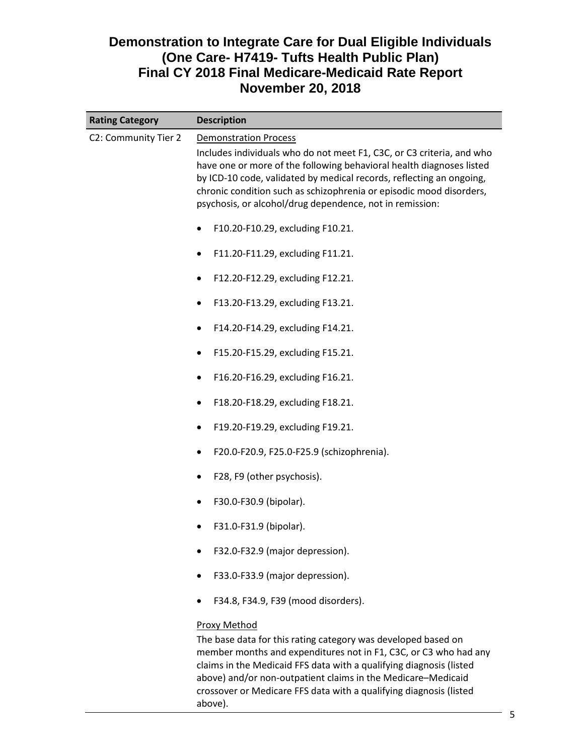| <b>Rating Category</b> | <b>Description</b>                                                                                                                                                                                                                                                                                                                                                                       |  |  |  |
|------------------------|------------------------------------------------------------------------------------------------------------------------------------------------------------------------------------------------------------------------------------------------------------------------------------------------------------------------------------------------------------------------------------------|--|--|--|
| C2: Community Tier 2   | <b>Demonstration Process</b><br>Includes individuals who do not meet F1, C3C, or C3 criteria, and who<br>have one or more of the following behavioral health diagnoses listed<br>by ICD-10 code, validated by medical records, reflecting an ongoing,<br>chronic condition such as schizophrenia or episodic mood disorders,<br>psychosis, or alcohol/drug dependence, not in remission: |  |  |  |
|                        | F10.20-F10.29, excluding F10.21.<br>F11.20-F11.29, excluding F11.21.<br>٠                                                                                                                                                                                                                                                                                                                |  |  |  |
|                        | F12.20-F12.29, excluding F12.21.<br>F13.20-F13.29, excluding F13.21.<br>٠                                                                                                                                                                                                                                                                                                                |  |  |  |
|                        | F14.20-F14.29, excluding F14.21.<br>F15.20-F15.29, excluding F15.21.                                                                                                                                                                                                                                                                                                                     |  |  |  |
|                        | F16.20-F16.29, excluding F16.21.<br>٠<br>F18.20-F18.29, excluding F18.21.                                                                                                                                                                                                                                                                                                                |  |  |  |
|                        | F19.20-F19.29, excluding F19.21.<br>F20.0-F20.9, F25.0-F25.9 (schizophrenia).                                                                                                                                                                                                                                                                                                            |  |  |  |
|                        | F28, F9 (other psychosis).<br>F30.0-F30.9 (bipolar).                                                                                                                                                                                                                                                                                                                                     |  |  |  |
|                        | F31.0-F31.9 (bipolar).<br>F32.0-F32.9 (major depression).                                                                                                                                                                                                                                                                                                                                |  |  |  |
|                        | F33.0-F33.9 (major depression).<br>F34.8, F34.9, F39 (mood disorders).                                                                                                                                                                                                                                                                                                                   |  |  |  |
|                        | Proxy Method<br>The base data for this rating category was developed based on<br>member months and expenditures not in F1, C3C, or C3 who had any<br>claims in the Medicaid FFS data with a qualifying diagnosis (listed<br>above) and/or non-outpatient claims in the Medicare-Medicaid<br>crossover or Medicare FFS data with a qualifying diagnosis (listed<br>above).                |  |  |  |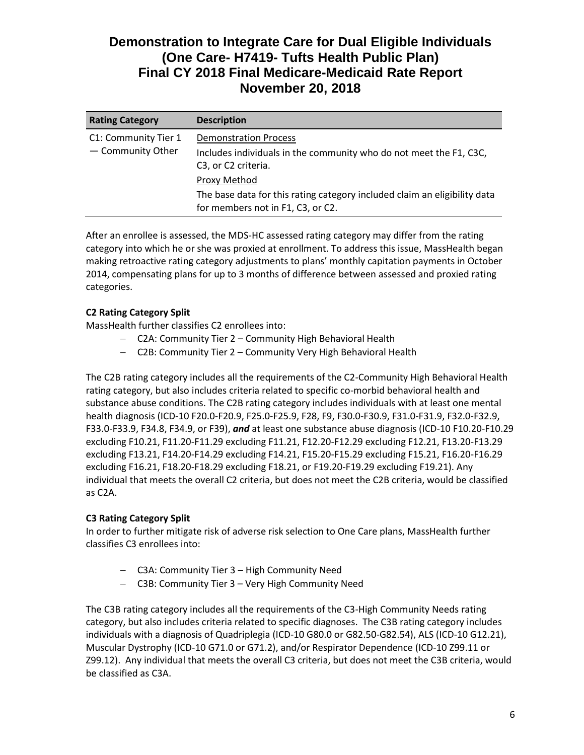| <b>Rating Category</b>                    | <b>Description</b>                                                                                                        |
|-------------------------------------------|---------------------------------------------------------------------------------------------------------------------------|
| C1: Community Tier 1<br>- Community Other | <b>Demonstration Process</b><br>Includes individuals in the community who do not meet the F1, C3C,<br>C3, or C2 criteria. |
|                                           | Proxy Method                                                                                                              |
|                                           | The base data for this rating category included claim an eligibility data<br>for members not in F1, C3, or C2.            |

After an enrollee is assessed, the MDS-HC assessed rating category may differ from the rating category into which he or she was proxied at enrollment. To address this issue, MassHealth began making retroactive rating category adjustments to plans' monthly capitation payments in October 2014, compensating plans for up to 3 months of difference between assessed and proxied rating categories.

# **C2 Rating Category Split**

MassHealth further classifies C2 enrollees into:

- C2A: Community Tier 2 Community High Behavioral Health
- C2B: Community Tier 2 Community Very High Behavioral Health

The C2B rating category includes all the requirements of the C2-Community High Behavioral Health rating category, but also includes criteria related to specific co-morbid behavioral health and substance abuse conditions. The C2B rating category includes individuals with at least one mental health diagnosis (ICD-10 F20.0-F20.9, F25.0-F25.9, F28, F9, F30.0-F30.9, F31.0-F31.9, F32.0-F32.9, F33.0-F33.9, F34.8, F34.9, or F39), *and* at least one substance abuse diagnosis (ICD-10 F10.20-F10.29 excluding F10.21, F11.20-F11.29 excluding F11.21, F12.20-F12.29 excluding F12.21, F13.20-F13.29 excluding F13.21, F14.20-F14.29 excluding F14.21, F15.20-F15.29 excluding F15.21, F16.20-F16.29 excluding F16.21, F18.20-F18.29 excluding F18.21, or F19.20-F19.29 excluding F19.21). Any individual that meets the overall C2 criteria, but does not meet the C2B criteria, would be classified as C2A.

# **C3 Rating Category Split**

In order to further mitigate risk of adverse risk selection to One Care plans, MassHealth further classifies C3 enrollees into:

- C3A: Community Tier 3 High Community Need
- C3B: Community Tier 3 Very High Community Need

The C3B rating category includes all the requirements of the C3-High Community Needs rating category, but also includes criteria related to specific diagnoses. The C3B rating category includes individuals with a diagnosis of Quadriplegia (ICD-10 G80.0 or G82.50-G82.54), ALS (ICD-10 G12.21), Muscular Dystrophy (ICD-10 G71.0 or G71.2), and/or Respirator Dependence (ICD-10 Z99.11 or Z99.12). Any individual that meets the overall C3 criteria, but does not meet the C3B criteria, would be classified as C3A.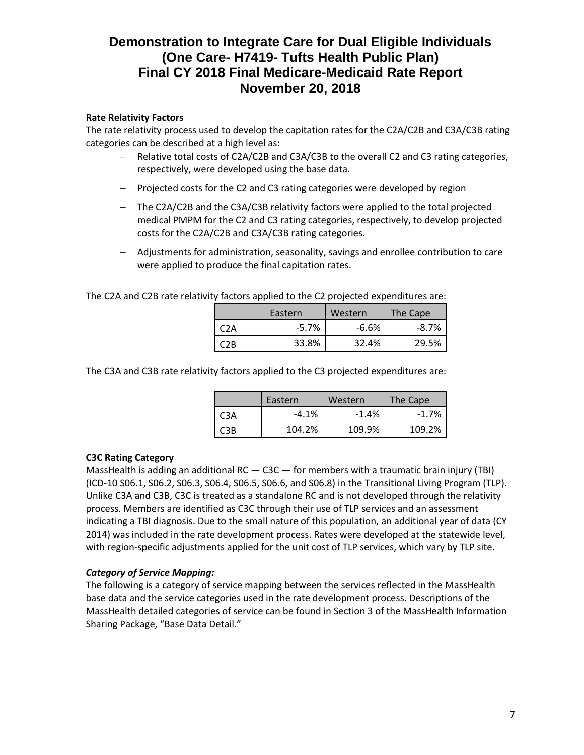### **Rate Relativity Factors**

The rate relativity process used to develop the capitation rates for the C2A/C2B and C3A/C3B rating categories can be described at a high level as:

- Relative total costs of C2A/C2B and C3A/C3B to the overall C2 and C3 rating categories, respectively, were developed using the base data.
- Projected costs for the C2 and C3 rating categories were developed by region
- The C2A/C2B and the C3A/C3B relativity factors were applied to the total projected medical PMPM for the C2 and C3 rating categories, respectively, to develop projected costs for the C2A/C2B and C3A/C3B rating categories.
- Adjustments for administration, seasonality, savings and enrollee contribution to care were applied to produce the final capitation rates.

The C2A and C2B rate relativity factors applied to the C2 projected expenditures are:

|     | Eastern | Western | The Cape |  |
|-----|---------|---------|----------|--|
| C2A | $-5.7%$ | $-6.6%$ | $-8.7\%$ |  |
| C2B | 33.8%   | 32.4%   | 29.5%    |  |

The C3A and C3B rate relativity factors applied to the C3 projected expenditures are:

|                  | Eastern | Western | The Cape |  |
|------------------|---------|---------|----------|--|
| C <sub>3</sub> A | $-4.1%$ | $-1.4%$ | $-1.7%$  |  |
| C3B              | 104.2%  | 109.9%  | 109.2%   |  |

#### **C3C Rating Category**

MassHealth is adding an additional RC  $-$  C3C  $-$  for members with a traumatic brain injury (TBI) (ICD-10 S06.1, S06.2, S06.3, S06.4, S06.5, S06.6, and S06.8) in the Transitional Living Program (TLP). Unlike C3A and C3B, C3C is treated as a standalone RC and is not developed through the relativity process. Members are identified as C3C through their use of TLP services and an assessment indicating a TBI diagnosis. Due to the small nature of this population, an additional year of data (CY 2014) was included in the rate development process. Rates were developed at the statewide level, with region-specific adjustments applied for the unit cost of TLP services, which vary by TLP site.

#### *Category of Service Mapping:*

The following is a category of service mapping between the services reflected in the MassHealth base data and the service categories used in the rate development process. Descriptions of the MassHealth detailed categories of service can be found in Section 3 of the MassHealth Information Sharing Package, "Base Data Detail."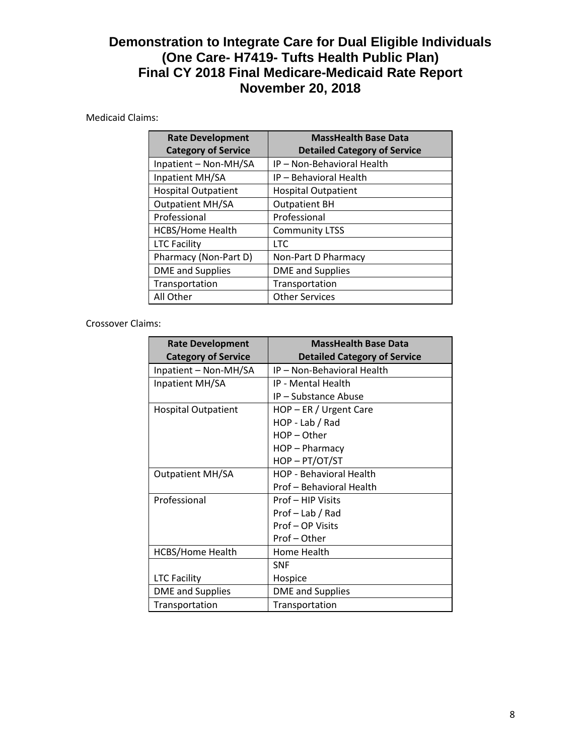# Medicaid Claims:

| <b>Rate Development</b><br><b>Category of Service</b> | <b>MassHealth Base Data</b><br><b>Detailed Category of Service</b> |
|-------------------------------------------------------|--------------------------------------------------------------------|
| Inpatient - Non-MH/SA                                 | IP - Non-Behavioral Health                                         |
| Inpatient MH/SA                                       | IP - Behavioral Health                                             |
| <b>Hospital Outpatient</b>                            | <b>Hospital Outpatient</b>                                         |
| <b>Outpatient MH/SA</b>                               | <b>Outpatient BH</b>                                               |
| Professional                                          | Professional                                                       |
| <b>HCBS/Home Health</b>                               | <b>Community LTSS</b>                                              |
| <b>LTC Facility</b>                                   | <b>LTC</b>                                                         |
| Pharmacy (Non-Part D)                                 | Non-Part D Pharmacy                                                |
| <b>DME</b> and Supplies                               | <b>DME</b> and Supplies                                            |
| Transportation                                        | Transportation                                                     |
| All Other                                             | <b>Other Services</b>                                              |

### Crossover Claims:

| <b>Rate Development</b>    | <b>MassHealth Base Data</b>         |  |  |
|----------------------------|-------------------------------------|--|--|
| <b>Category of Service</b> | <b>Detailed Category of Service</b> |  |  |
| Inpatient - Non-MH/SA      | IP - Non-Behavioral Health          |  |  |
| Inpatient MH/SA            | IP - Mental Health                  |  |  |
|                            | IP - Substance Abuse                |  |  |
| Hospital Outpatient        | HOP - ER / Urgent Care              |  |  |
|                            | HOP - Lab / Rad                     |  |  |
|                            | $HOP - Other$                       |  |  |
|                            | HOP-Pharmacy                        |  |  |
|                            | HOP-PT/OT/ST                        |  |  |
| <b>Outpatient MH/SA</b>    | <b>HOP - Behavioral Health</b>      |  |  |
|                            | Prof – Behavioral Health            |  |  |
| Professional               | Prof - HIP Visits                   |  |  |
|                            | Prof - Lab / Rad                    |  |  |
|                            | Prof - OP Visits                    |  |  |
|                            | Prof - Other                        |  |  |
| <b>HCBS/Home Health</b>    | Home Health                         |  |  |
|                            | <b>SNF</b>                          |  |  |
| <b>LTC Facility</b>        | Hospice                             |  |  |
| <b>DME</b> and Supplies    | <b>DME</b> and Supplies             |  |  |
| Transportation             | Transportation                      |  |  |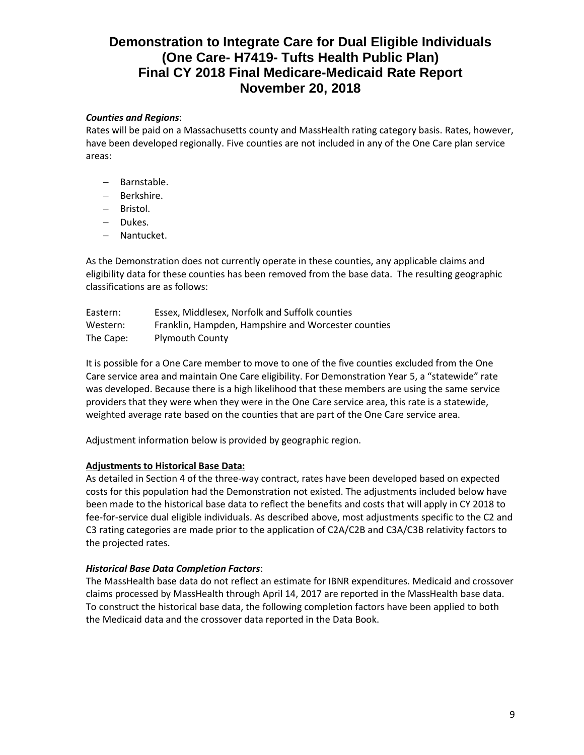## *Counties and Regions*:

Rates will be paid on a Massachusetts county and MassHealth rating category basis. Rates, however, have been developed regionally. Five counties are not included in any of the One Care plan service areas:

- Barnstable.
- Berkshire.
- Bristol.
- Dukes.
- Nantucket.

As the Demonstration does not currently operate in these counties, any applicable claims and eligibility data for these counties has been removed from the base data. The resulting geographic classifications are as follows:

| Eastern:  | Essex, Middlesex, Norfolk and Suffolk counties      |
|-----------|-----------------------------------------------------|
| Western:  | Franklin, Hampden, Hampshire and Worcester counties |
| The Cape: | <b>Plymouth County</b>                              |

It is possible for a One Care member to move to one of the five counties excluded from the One Care service area and maintain One Care eligibility. For Demonstration Year 5, a "statewide" rate was developed. Because there is a high likelihood that these members are using the same service providers that they were when they were in the One Care service area, this rate is a statewide, weighted average rate based on the counties that are part of the One Care service area.

Adjustment information below is provided by geographic region.

#### **Adjustments to Historical Base Data:**

As detailed in Section 4 of the three-way contract, rates have been developed based on expected costs for this population had the Demonstration not existed. The adjustments included below have been made to the historical base data to reflect the benefits and costs that will apply in CY 2018 to fee-for-service dual eligible individuals. As described above, most adjustments specific to the C2 and C3 rating categories are made prior to the application of C2A/C2B and C3A/C3B relativity factors to the projected rates.

#### *Historical Base Data Completion Factors*:

The MassHealth base data do not reflect an estimate for IBNR expenditures. Medicaid and crossover claims processed by MassHealth through April 14, 2017 are reported in the MassHealth base data. To construct the historical base data, the following completion factors have been applied to both the Medicaid data and the crossover data reported in the Data Book.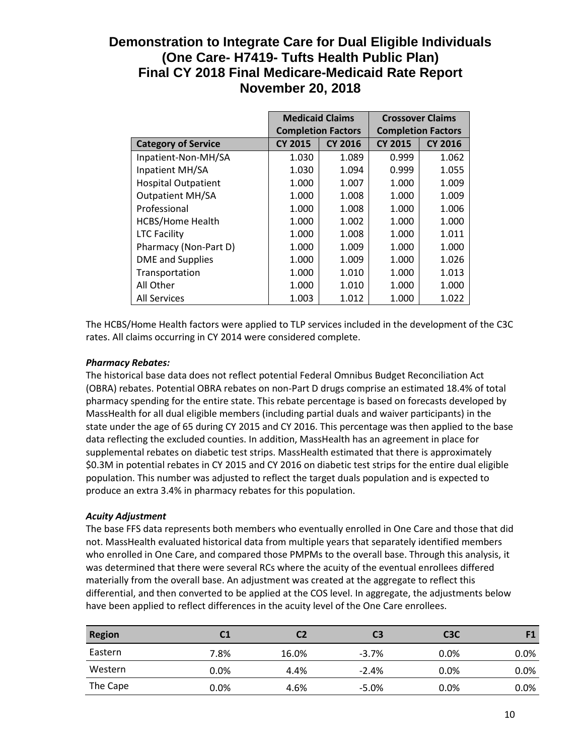|                            | <b>Medicaid Claims</b>    |                | <b>Crossover Claims</b>   |                |
|----------------------------|---------------------------|----------------|---------------------------|----------------|
|                            | <b>Completion Factors</b> |                | <b>Completion Factors</b> |                |
| <b>Category of Service</b> | <b>CY 2015</b>            | <b>CY 2016</b> | <b>CY 2015</b>            | <b>CY 2016</b> |
| Inpatient-Non-MH/SA        | 1.030                     | 1.089          | 0.999                     | 1.062          |
| Inpatient MH/SA            | 1.030                     | 1.094          | 0.999                     | 1.055          |
| <b>Hospital Outpatient</b> | 1.000                     | 1.007          | 1.000                     | 1.009          |
| <b>Outpatient MH/SA</b>    | 1.000                     | 1.008          | 1.000                     | 1.009          |
| Professional               | 1.000                     | 1.008          | 1.000                     | 1.006          |
| <b>HCBS/Home Health</b>    | 1.000                     | 1.002          | 1.000                     | 1.000          |
| <b>LTC Facility</b>        | 1.000                     | 1.008          | 1.000                     | 1.011          |
| Pharmacy (Non-Part D)      | 1.000                     | 1.009          | 1.000                     | 1.000          |
| DME and Supplies           | 1.000                     | 1.009          | 1.000                     | 1.026          |
| Transportation             | 1.000                     | 1.010          | 1.000                     | 1.013          |
| All Other                  | 1.000                     | 1.010          | 1.000                     | 1.000          |
| <b>All Services</b>        | 1.003                     | 1.012          | 1.000                     | 1.022          |

The HCBS/Home Health factors were applied to TLP services included in the development of the C3C rates. All claims occurring in CY 2014 were considered complete.

### *Pharmacy Rebates:*

The historical base data does not reflect potential Federal Omnibus Budget Reconciliation Act (OBRA) rebates. Potential OBRA rebates on non-Part D drugs comprise an estimated 18.4% of total pharmacy spending for the entire state. This rebate percentage is based on forecasts developed by MassHealth for all dual eligible members (including partial duals and waiver participants) in the state under the age of 65 during CY 2015 and CY 2016. This percentage was then applied to the base data reflecting the excluded counties. In addition, MassHealth has an agreement in place for supplemental rebates on diabetic test strips. MassHealth estimated that there is approximately \$0.3M in potential rebates in CY 2015 and CY 2016 on diabetic test strips for the entire dual eligible population. This number was adjusted to reflect the target duals population and is expected to produce an extra 3.4% in pharmacy rebates for this population.

# *Acuity Adjustment*

The base FFS data represents both members who eventually enrolled in One Care and those that did not. MassHealth evaluated historical data from multiple years that separately identified members who enrolled in One Care, and compared those PMPMs to the overall base. Through this analysis, it was determined that there were several RCs where the acuity of the eventual enrollees differed materially from the overall base. An adjustment was created at the aggregate to reflect this differential, and then converted to be applied at the COS level. In aggregate, the adjustments below have been applied to reflect differences in the acuity level of the One Care enrollees.

| <b>Region</b> | C1   | C2    | C3      | C <sub>3</sub> C | F1      |
|---------------|------|-------|---------|------------------|---------|
| Eastern       | 7.8% | 16.0% | $-3.7%$ | $0.0\%$          | $0.0\%$ |
| Western       | 0.0% | 4.4%  | $-2.4%$ | $0.0\%$          | $0.0\%$ |
| The Cape      | 0.0% | 4.6%  | $-5.0%$ | $0.0\%$          | $0.0\%$ |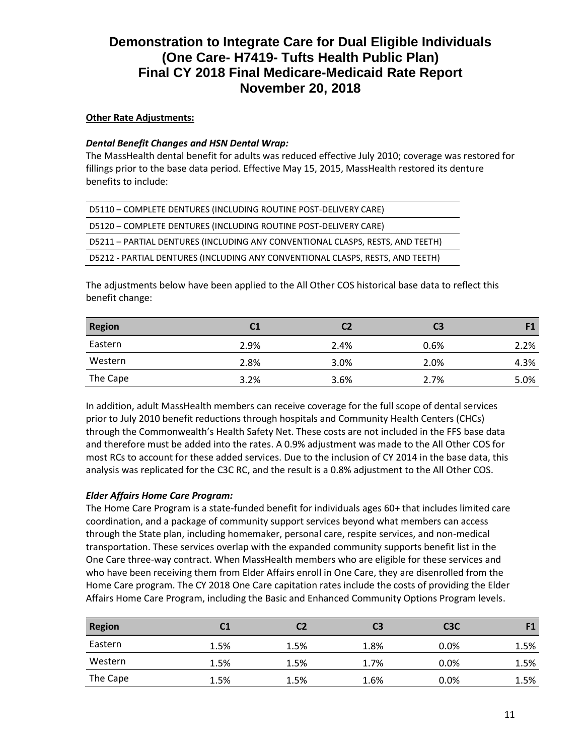### **Other Rate Adjustments:**

### *Dental Benefit Changes and HSN Dental Wrap:*

The MassHealth dental benefit for adults was reduced effective July 2010; coverage was restored for fillings prior to the base data period. Effective May 15, 2015, MassHealth restored its denture benefits to include:

| D5110 - COMPLETE DENTURES (INCLUDING ROUTINE POST-DELIVERY CARE)               |
|--------------------------------------------------------------------------------|
| D5120 - COMPLETE DENTURES (INCLUDING ROUTINE POST-DELIVERY CARE)               |
| D5211 - PARTIAL DENTURES (INCLUDING ANY CONVENTIONAL CLASPS, RESTS, AND TEETH) |
| D5212 - PARTIAL DENTURES (INCLUDING ANY CONVENTIONAL CLASPS, RESTS, AND TEETH) |

The adjustments below have been applied to the All Other COS historical base data to reflect this benefit change:

| <b>Region</b> | C1   |      | C <sub>3</sub> |      |
|---------------|------|------|----------------|------|
| Eastern       | 2.9% | 2.4% | 0.6%           | 2.2% |
| Western       | 2.8% | 3.0% | 2.0%           | 4.3% |
| The Cape      | 3.2% | 3.6% | 2.7%           | 5.0% |

In addition, adult MassHealth members can receive coverage for the full scope of dental services prior to July 2010 benefit reductions through hospitals and Community Health Centers (CHCs) through the Commonwealth's Health Safety Net. These costs are not included in the FFS base data and therefore must be added into the rates. A 0.9% adjustment was made to the All Other COS for most RCs to account for these added services. Due to the inclusion of CY 2014 in the base data, this analysis was replicated for the C3C RC, and the result is a 0.8% adjustment to the All Other COS.

# *Elder Affairs Home Care Program:*

The Home Care Program is a state-funded benefit for individuals ages 60+ that includes limited care coordination, and a package of community support services beyond what members can access through the State plan, including homemaker, personal care, respite services, and non-medical transportation. These services overlap with the expanded community supports benefit list in the One Care three-way contract. When MassHealth members who are eligible for these services and who have been receiving them from Elder Affairs enroll in One Care, they are disenrolled from the Home Care program. The CY 2018 One Care capitation rates include the costs of providing the Elder Affairs Home Care Program, including the Basic and Enhanced Community Options Program levels.

| <b>Region</b> | C1   | C2   | C <sub>3</sub> | C <sub>3</sub> C | F1   |
|---------------|------|------|----------------|------------------|------|
| Eastern       | 1.5% | 1.5% | 1.8%           | 0.0%             | 1.5% |
| Western       | 1.5% | 1.5% | 1.7%           | 0.0%             | 1.5% |
| The Cape      | 1.5% | 1.5% | 1.6%           | $0.0\%$          | 1.5% |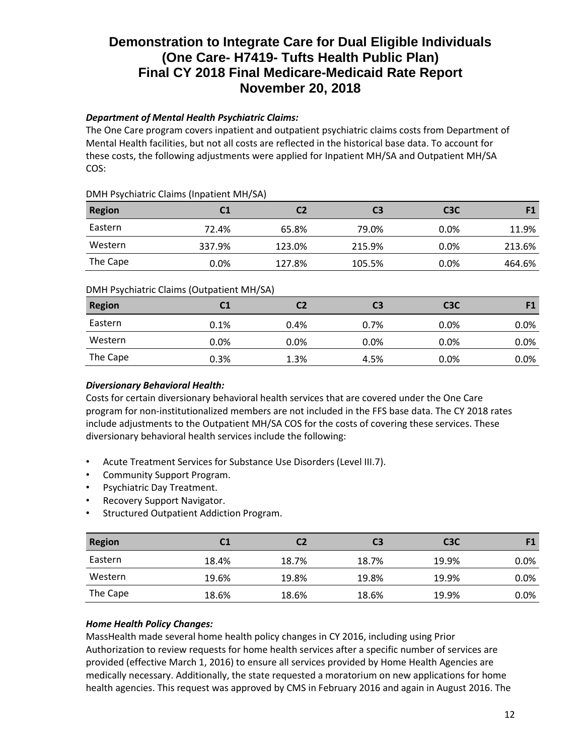# *Department of Mental Health Psychiatric Claims:*

The One Care program covers inpatient and outpatient psychiatric claims costs from Department of Mental Health facilities, but not all costs are reflected in the historical base data. To account for these costs, the following adjustments were applied for Inpatient MH/SA and Outpatient MH/SA COS:

### DMH Psychiatric Claims (Inpatient MH/SA)

| <b>Region</b> | C1     | C2     | C3     | C <sub>3</sub> C |        |
|---------------|--------|--------|--------|------------------|--------|
| Eastern       | 72.4%  | 65.8%  | 79.0%  | $0.0\%$          | 11.9%  |
| Western       | 337.9% | 123.0% | 215.9% | 0.0%             | 213.6% |
| The Cape      | 0.0%   | 127.8% | 105.5% | 0.0%             | 464.6% |

# DMH Psychiatric Claims (Outpatient MH/SA)

| <b>Region</b> | C1   | C2      | C3   | C <sub>3</sub> C | F1      |
|---------------|------|---------|------|------------------|---------|
| Eastern       | 0.1% | 0.4%    | 0.7% | 0.0%             | $0.0\%$ |
| Western       | 0.0% | $0.0\%$ | 0.0% | 0.0%             | $0.0\%$ |
| The Cape      | 0.3% | 1.3%    | 4.5% | 0.0%             | $0.0\%$ |
|               |      |         |      |                  |         |

# *Diversionary Behavioral Health:*

Costs for certain diversionary behavioral health services that are covered under the One Care program for non-institutionalized members are not included in the FFS base data. The CY 2018 rates include adjustments to the Outpatient MH/SA COS for the costs of covering these services. These diversionary behavioral health services include the following:

- Acute Treatment Services for Substance Use Disorders (Level III.7).
- Community Support Program.
- Psychiatric Day Treatment.
- Recovery Support Navigator.
- Structured Outpatient Addiction Program.

| <b>Region</b> | C1    | С2    | C3    | C <sub>3</sub> C |      |
|---------------|-------|-------|-------|------------------|------|
| Eastern       | 18.4% | 18.7% | 18.7% | 19.9%            | 0.0% |
| Western       | 19.6% | 19.8% | 19.8% | 19.9%            | 0.0% |
| The Cape      | 18.6% | 18.6% | 18.6% | 19.9%            | 0.0% |

# *Home Health Policy Changes:*

MassHealth made several home health policy changes in CY 2016, including using Prior Authorization to review requests for home health services after a specific number of services are provided (effective March 1, 2016) to ensure all services provided by Home Health Agencies are medically necessary. Additionally, the state requested a moratorium on new applications for home health agencies. This request was approved by CMS in February 2016 and again in August 2016. The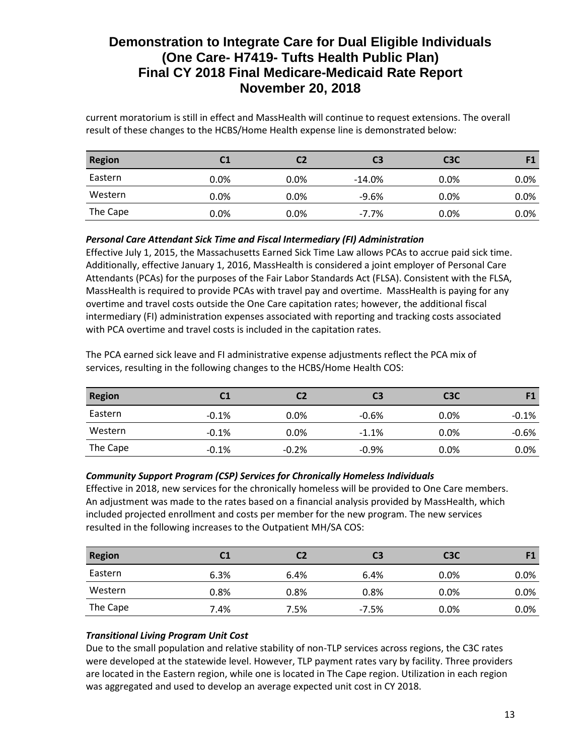current moratorium is still in effect and MassHealth will continue to request extensions. The overall result of these changes to the HCBS/Home Health expense line is demonstrated below:

| <b>Region</b> |      | C2      | C3       | C <sub>3</sub> C |         |
|---------------|------|---------|----------|------------------|---------|
| Eastern       | 0.0% | $0.0\%$ | $-14.0%$ | $0.0\%$          | 0.0%    |
| Western       | 0.0% | $0.0\%$ | $-9.6%$  | $0.0\%$          | 0.0%    |
| The Cape      | 0.0% | $0.0\%$ | $-7.7\%$ | $0.0\%$          | $0.0\%$ |

*Personal Care Attendant Sick Time and Fiscal Intermediary (FI) Administration*

Effective July 1, 2015, the Massachusetts Earned Sick Time Law allows PCAs to accrue paid sick time. Additionally, effective January 1, 2016, MassHealth is considered a joint employer of Personal Care Attendants (PCAs) for the purposes of the Fair Labor Standards Act (FLSA). Consistent with the FLSA, MassHealth is required to provide PCAs with travel pay and overtime. MassHealth is paying for any overtime and travel costs outside the One Care capitation rates; however, the additional fiscal intermediary (FI) administration expenses associated with reporting and tracking costs associated with PCA overtime and travel costs is included in the capitation rates.

The PCA earned sick leave and FI administrative expense adjustments reflect the PCA mix of services, resulting in the following changes to the HCBS/Home Health COS:

| <b>Region</b> | C1      | C2      | C3      | C <sub>3</sub> C | <b>E1</b> |
|---------------|---------|---------|---------|------------------|-----------|
| Eastern       | $-0.1%$ | $0.0\%$ | $-0.6%$ | 0.0%             | $-0.1%$   |
| Western       | $-0.1%$ | 0.0%    | $-1.1%$ | $0.0\%$          | $-0.6%$   |
| The Cape      | $-0.1%$ | $-0.2%$ | $-0.9%$ | $0.0\%$          | 0.0%      |

# *Community Support Program (CSP) Services for Chronically Homeless Individuals*

Effective in 2018, new services for the chronically homeless will be provided to One Care members. An adjustment was made to the rates based on a financial analysis provided by MassHealth, which included projected enrollment and costs per member for the new program. The new services resulted in the following increases to the Outpatient MH/SA COS:

| <b>Region</b> |         | C2   | C3      | C <sub>3</sub> C |      |
|---------------|---------|------|---------|------------------|------|
| Eastern       | 6.3%    | 6.4% | 6.4%    | $0.0\%$          | 0.0% |
| Western       | $0.8\%$ | 0.8% | 0.8%    | $0.0\%$          | 0.0% |
| The Cape      | 7.4%    | 7.5% | $-7.5%$ | $0.0\%$          | 0.0% |

# *Transitional Living Program Unit Cost*

Due to the small population and relative stability of non-TLP services across regions, the C3C rates were developed at the statewide level. However, TLP payment rates vary by facility. Three providers are located in the Eastern region, while one is located in The Cape region. Utilization in each region was aggregated and used to develop an average expected unit cost in CY 2018.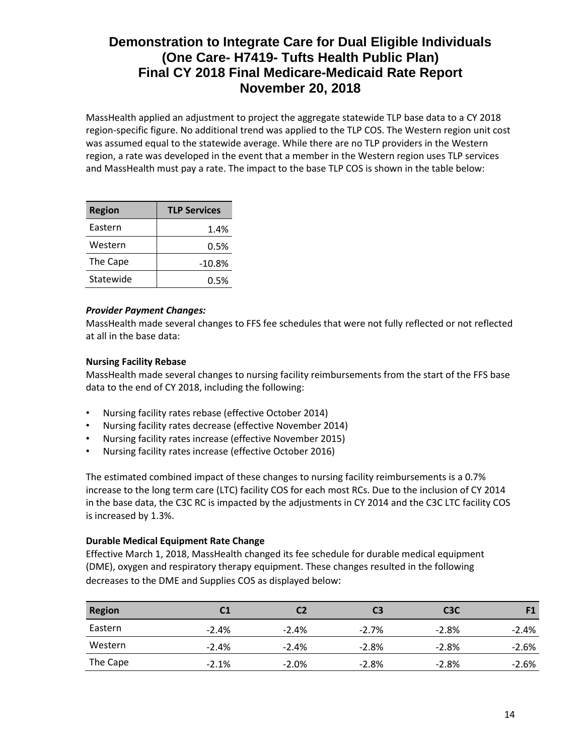MassHealth applied an adjustment to project the aggregate statewide TLP base data to a CY 2018 region-specific figure. No additional trend was applied to the TLP COS. The Western region unit cost was assumed equal to the statewide average. While there are no TLP providers in the Western region, a rate was developed in the event that a member in the Western region uses TLP services and MassHealth must pay a rate. The impact to the base TLP COS is shown in the table below:

| <b>Region</b> | <b>TLP Services</b> |
|---------------|---------------------|
| Eastern       | 1.4%                |
| Western       | 0.5%                |
| The Cape      | $-10.8%$            |
| Statewide     | 0.5%                |

#### *Provider Payment Changes:*

MassHealth made several changes to FFS fee schedules that were not fully reflected or not reflected at all in the base data:

### **Nursing Facility Rebase**

MassHealth made several changes to nursing facility reimbursements from the start of the FFS base data to the end of CY 2018, including the following:

- Nursing facility rates rebase (effective October 2014)
- Nursing facility rates decrease (effective November 2014)
- Nursing facility rates increase (effective November 2015)
- Nursing facility rates increase (effective October 2016)

The estimated combined impact of these changes to nursing facility reimbursements is a 0.7% increase to the long term care (LTC) facility COS for each most RCs. Due to the inclusion of CY 2014 in the base data, the C3C RC is impacted by the adjustments in CY 2014 and the C3C LTC facility COS is increased by 1.3%.

#### **Durable Medical Equipment Rate Change**

Effective March 1, 2018, MassHealth changed its fee schedule for durable medical equipment (DME), oxygen and respiratory therapy equipment. These changes resulted in the following decreases to the DME and Supplies COS as displayed below:

| <b>Region</b> |         | C2      | C3      | C <sub>3</sub> C |         |
|---------------|---------|---------|---------|------------------|---------|
| Eastern       | $-2.4%$ | $-2.4%$ | $-2.7%$ | $-2.8%$          | $-2.4%$ |
| Western       | $-2.4%$ | $-2.4%$ | $-2.8%$ | $-2.8%$          | $-2.6%$ |
| The Cape      | $-2.1%$ | $-2.0%$ | $-2.8%$ | $-2.8%$          | $-2.6%$ |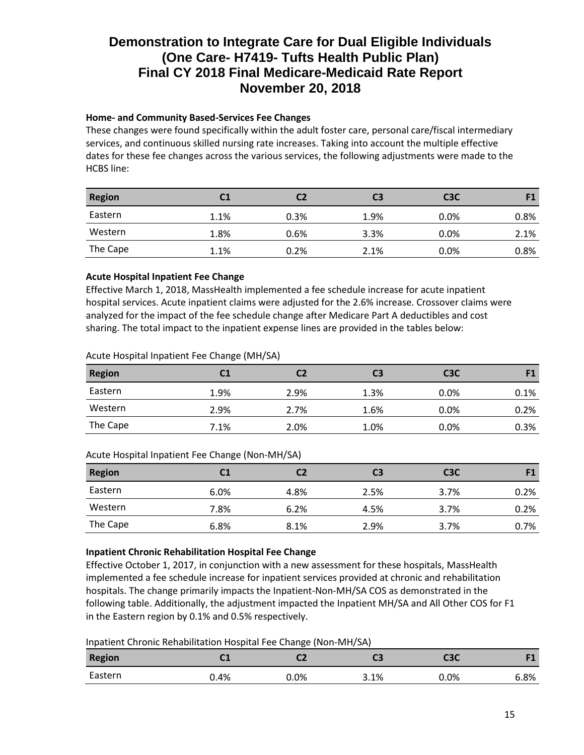# **Home- and Community Based-Services Fee Changes**

These changes were found specifically within the adult foster care, personal care/fiscal intermediary services, and continuous skilled nursing rate increases. Taking into account the multiple effective dates for these fee changes across the various services, the following adjustments were made to the HCBS line:

| <b>Region</b> |      | C2   | C3   | C <sub>3</sub> C |      |
|---------------|------|------|------|------------------|------|
| Eastern       | 1.1% | 0.3% | 1.9% | 0.0%             | 0.8% |
| Western       | 1.8% | 0.6% | 3.3% | 0.0%             | 2.1% |
| The Cape      | 1.1% | 0.2% | 2.1% | 0.0%             | 0.8% |

# **Acute Hospital Inpatient Fee Change**

Effective March 1, 2018, MassHealth implemented a fee schedule increase for acute inpatient hospital services. Acute inpatient claims were adjusted for the 2.6% increase. Crossover claims were analyzed for the impact of the fee schedule change after Medicare Part A deductibles and cost sharing. The total impact to the inpatient expense lines are provided in the tables below:

### Acute Hospital Inpatient Fee Change (MH/SA)

| <b>Region</b> | C1   |      | C3   | C <sub>3</sub> C |      |
|---------------|------|------|------|------------------|------|
| Eastern       | 1.9% | 2.9% | 1.3% | $0.0\%$          | 0.1% |
| Western       | 2.9% | 2.7% | 1.6% | $0.0\%$          | 0.2% |
| The Cape      | 7.1% | 2.0% | 1.0% | 0.0%             | 0.3% |

# Acute Hospital Inpatient Fee Change (Non-MH/SA)

| <b>Region</b> | C1   | C2   | C3   | C <sub>3</sub> C | F1   |
|---------------|------|------|------|------------------|------|
| Eastern       | 6.0% | 4.8% | 2.5% | 3.7%             | 0.2% |
| Western       | 7.8% | 6.2% | 4.5% | 3.7%             | 0.2% |
| The Cape      | 6.8% | 8.1% | 2.9% | 3.7%             | 0.7% |

# **Inpatient Chronic Rehabilitation Hospital Fee Change**

Effective October 1, 2017, in conjunction with a new assessment for these hospitals, MassHealth implemented a fee schedule increase for inpatient services provided at chronic and rehabilitation hospitals. The change primarily impacts the Inpatient-Non-MH/SA COS as demonstrated in the following table. Additionally, the adjustment impacted the Inpatient MH/SA and All Other COS for F1 in the Eastern region by 0.1% and 0.5% respectively.

Inpatient Chronic Rehabilitation Hospital Fee Change (Non-MH/SA)

| <b>Region</b> | ∼∸   | ∽    | CЗ   | СЗС  | <b>PA</b> |
|---------------|------|------|------|------|-----------|
| Eastern       | 0.4% | 0.0% | 3.1% | 0.0% | 6.8%      |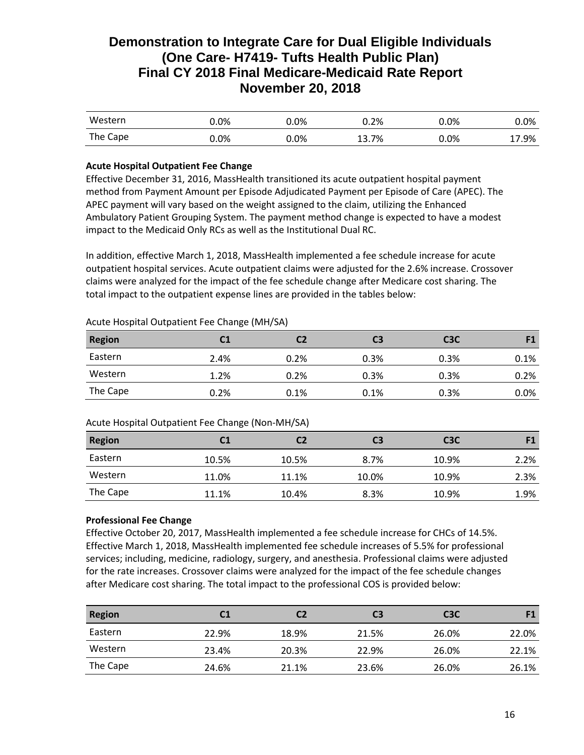| Western  | 0.0%    | .0%     | 0.2%        | $0.0\%$ | $0.0\%$ |
|----------|---------|---------|-------------|---------|---------|
| The Cape | $0.0\%$ | $0.0\%$ | 13.7%<br>12 | $0.0\%$ | 1/0.9%  |

### **Acute Hospital Outpatient Fee Change**

Effective December 31, 2016, MassHealth transitioned its acute outpatient hospital payment method from Payment Amount per Episode Adjudicated Payment per Episode of Care (APEC). The APEC payment will vary based on the weight assigned to the claim, utilizing the Enhanced Ambulatory Patient Grouping System. The payment method change is expected to have a modest impact to the Medicaid Only RCs as well as the Institutional Dual RC.

In addition, effective March 1, 2018, MassHealth implemented a fee schedule increase for acute outpatient hospital services. Acute outpatient claims were adjusted for the 2.6% increase. Crossover claims were analyzed for the impact of the fee schedule change after Medicare cost sharing. The total impact to the outpatient expense lines are provided in the tables below:

#### Acute Hospital Outpatient Fee Change (MH/SA)

| <b>Region</b> | C1   | C2   | C3   | C <sub>3</sub> C |      |
|---------------|------|------|------|------------------|------|
| Eastern       | 2.4% | 0.2% | 0.3% | 0.3%             | 0.1% |
| Western       | 1.2% | 0.2% | 0.3% | 0.3%             | 0.2% |
| The Cape      | 0.2% | 0.1% | 0.1% | 0.3%             | 0.0% |

#### Acute Hospital Outpatient Fee Change (Non-MH/SA)

| <b>Region</b> | C <sub>1</sub> | C2    | C3    | C <sub>3</sub> C | F1   |
|---------------|----------------|-------|-------|------------------|------|
| Eastern       | 10.5%          | 10.5% | 8.7%  | 10.9%            | 2.2% |
| Western       | 11.0%          | 11.1% | 10.0% | 10.9%            | 2.3% |
| The Cape      | 11.1%          | 10.4% | 8.3%  | 10.9%            | 1.9% |

#### **Professional Fee Change**

Effective October 20, 2017, MassHealth implemented a fee schedule increase for CHCs of 14.5%. Effective March 1, 2018, MassHealth implemented fee schedule increases of 5.5% for professional services; including, medicine, radiology, surgery, and anesthesia. Professional claims were adjusted for the rate increases. Crossover claims were analyzed for the impact of the fee schedule changes after Medicare cost sharing. The total impact to the professional COS is provided below:

| <b>Region</b> | C1    | C2    | C3    | C <sub>3</sub> C | F1    |
|---------------|-------|-------|-------|------------------|-------|
| Eastern       | 22.9% | 18.9% | 21.5% | 26.0%            | 22.0% |
| Western       | 23.4% | 20.3% | 22.9% | 26.0%            | 22.1% |
| The Cape      | 24.6% | 21.1% | 23.6% | 26.0%            | 26.1% |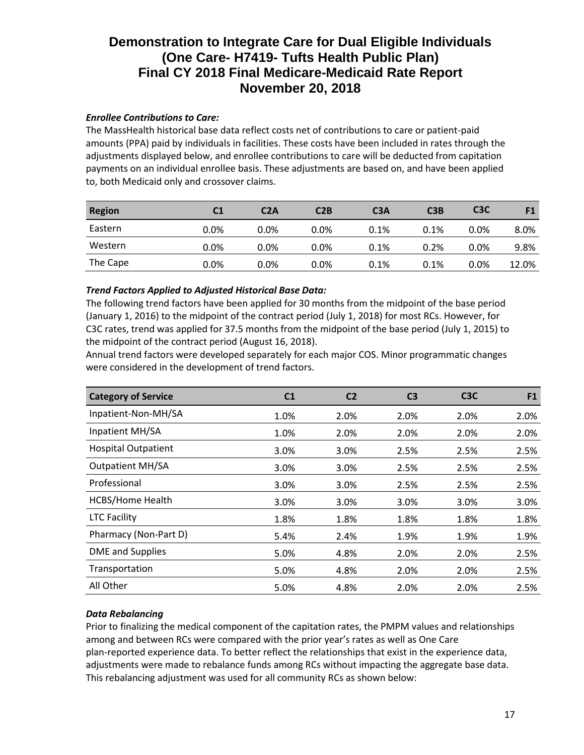### *Enrollee Contributions to Care:*

The MassHealth historical base data reflect costs net of contributions to care or patient-paid amounts (PPA) paid by individuals in facilities. These costs have been included in rates through the adjustments displayed below, and enrollee contributions to care will be deducted from capitation payments on an individual enrollee basis. These adjustments are based on, and have been applied to, both Medicaid only and crossover claims.

| <b>Region</b> | C1   | C2A     | C2B     | C <sub>3</sub> A | C3B  | C <sub>3</sub> C | F1    |
|---------------|------|---------|---------|------------------|------|------------------|-------|
| Eastern       | 0.0% | $0.0\%$ | $0.0\%$ | 0.1%             | 0.1% | $0.0\%$          | 8.0%  |
| Western       | 0.0% | $0.0\%$ | 0.0%    | 0.1%             | 0.2% | $0.0\%$          | 9.8%  |
| The Cape      | 0.0% | $0.0\%$ | 0.0%    | 0.1%             | 0.1% | $0.0\%$          | 12.0% |

### *Trend Factors Applied to Adjusted Historical Base Data:*

The following trend factors have been applied for 30 months from the midpoint of the base period (January 1, 2016) to the midpoint of the contract period (July 1, 2018) for most RCs. However, for C3C rates, trend was applied for 37.5 months from the midpoint of the base period (July 1, 2015) to the midpoint of the contract period (August 16, 2018).

Annual trend factors were developed separately for each major COS. Minor programmatic changes were considered in the development of trend factors.

| <b>Category of Service</b> | C <sub>1</sub> | C <sub>2</sub> | C <sub>3</sub> | C <sub>3</sub> C | F <sub>1</sub> |
|----------------------------|----------------|----------------|----------------|------------------|----------------|
| Inpatient-Non-MH/SA        | 1.0%           | 2.0%           | 2.0%           | 2.0%             | 2.0%           |
| Inpatient MH/SA            | 1.0%           | 2.0%           | 2.0%           | 2.0%             | 2.0%           |
| <b>Hospital Outpatient</b> | 3.0%           | 3.0%           | 2.5%           | 2.5%             | 2.5%           |
| <b>Outpatient MH/SA</b>    | 3.0%           | 3.0%           | 2.5%           | 2.5%             | 2.5%           |
| Professional               | 3.0%           | 3.0%           | 2.5%           | 2.5%             | 2.5%           |
| <b>HCBS/Home Health</b>    | 3.0%           | 3.0%           | 3.0%           | 3.0%             | 3.0%           |
| <b>LTC Facility</b>        | 1.8%           | 1.8%           | 1.8%           | 1.8%             | 1.8%           |
| Pharmacy (Non-Part D)      | 5.4%           | 2.4%           | 1.9%           | 1.9%             | 1.9%           |
| <b>DME</b> and Supplies    | 5.0%           | 4.8%           | 2.0%           | 2.0%             | 2.5%           |
| Transportation             | 5.0%           | 4.8%           | 2.0%           | 2.0%             | 2.5%           |
| All Other                  | 5.0%           | 4.8%           | 2.0%           | 2.0%             | 2.5%           |

# *Data Rebalancing*

Prior to finalizing the medical component of the capitation rates, the PMPM values and relationships among and between RCs were compared with the prior year's rates as well as One Care plan-reported experience data. To better reflect the relationships that exist in the experience data, adjustments were made to rebalance funds among RCs without impacting the aggregate base data. This rebalancing adjustment was used for all community RCs as shown below: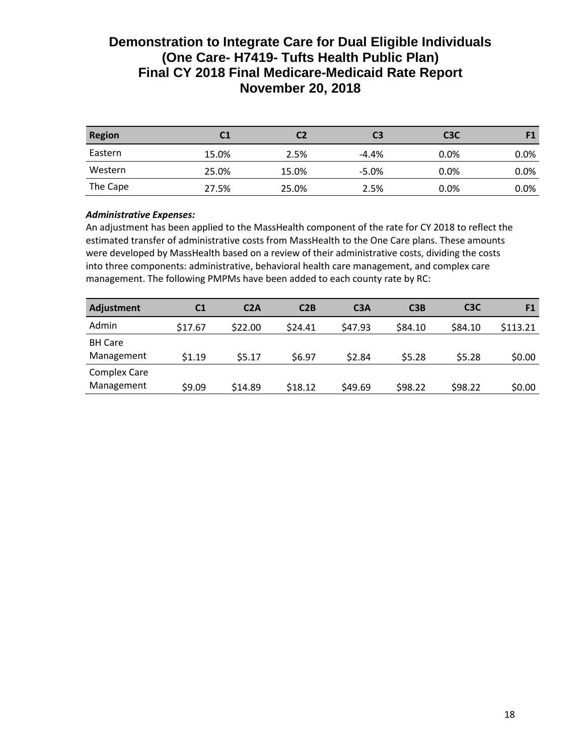| <b>Region</b> | C1    | C2    | C3      | C <sub>3</sub> C | E <sub>1</sub> |
|---------------|-------|-------|---------|------------------|----------------|
| Eastern       | 15.0% | 2.5%  | $-4.4%$ | $0.0\%$          | 0.0%           |
| Western       | 25.0% | 15.0% | $-5.0%$ | $0.0\%$          | 0.0%           |
| The Cape      | 27.5% | 25.0% | 2.5%    | $0.0\%$          | 0.0%           |

# *Administrative Expenses:*

An adjustment has been applied to the MassHealth component of the rate for CY 2018 to reflect the estimated transfer of administrative costs from MassHealth to the One Care plans. These amounts were developed by MassHealth based on a review of their administrative costs, dividing the costs into three components: administrative, behavioral health care management, and complex care management. The following PMPMs have been added to each county rate by RC:

| <b>Adjustment</b>                 | C <sub>1</sub> | C2A     | C2B     | C <sub>3</sub> A | C3B     | C <sub>3</sub> C | F <sub>1</sub> |
|-----------------------------------|----------------|---------|---------|------------------|---------|------------------|----------------|
| Admin                             | \$17.67        | \$22.00 | \$24.41 | \$47.93          | \$84.10 | \$84.10          | \$113.21       |
| <b>BH Care</b><br>Management      | \$1.19         | \$5.17  | \$6.97  | \$2.84           | \$5.28  | \$5.28           | \$0.00         |
| <b>Complex Care</b><br>Management | \$9.09         | \$14.89 | \$18.12 | \$49.69          | \$98.22 | \$98.22          | \$0.00         |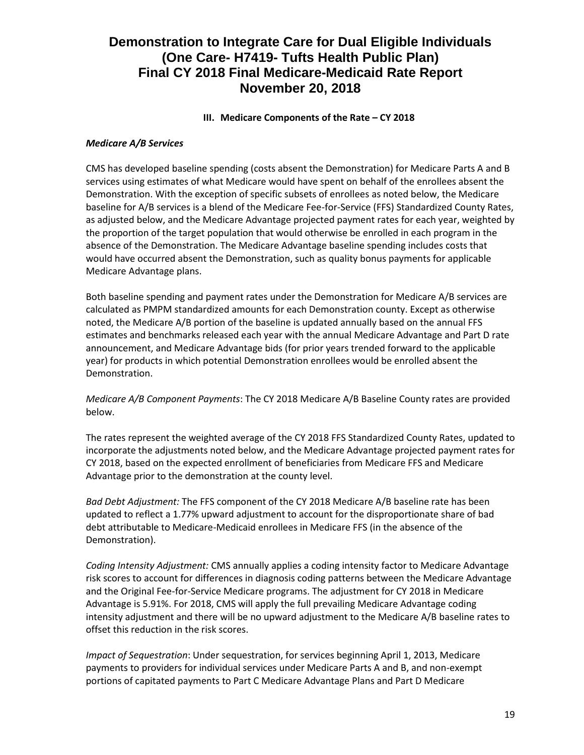## **III.** Medicare Components of the Rate – CY 2018

### *Medicare A/B Services*

CMS has developed baseline spending (costs absent the Demonstration) for Medicare Parts A and B services using estimates of what Medicare would have spent on behalf of the enrollees absent the Demonstration. With the exception of specific subsets of enrollees as noted below, the Medicare baseline for A/B services is a blend of the Medicare Fee-for-Service (FFS) Standardized County Rates, as adjusted below, and the Medicare Advantage projected payment rates for each year, weighted by the proportion of the target population that would otherwise be enrolled in each program in the absence of the Demonstration. The Medicare Advantage baseline spending includes costs that would have occurred absent the Demonstration, such as quality bonus payments for applicable Medicare Advantage plans.

Both baseline spending and payment rates under the Demonstration for Medicare A/B services are calculated as PMPM standardized amounts for each Demonstration county. Except as otherwise noted, the Medicare A/B portion of the baseline is updated annually based on the annual FFS estimates and benchmarks released each year with the annual Medicare Advantage and Part D rate announcement, and Medicare Advantage bids (for prior years trended forward to the applicable year) for products in which potential Demonstration enrollees would be enrolled absent the Demonstration.

### *Medicare A/B Component Payments*: The CY 2018 Medicare A/B Baseline County rates are provided below.

The rates represent the weighted average of the CY 2018 FFS Standardized County Rates, updated to incorporate the adjustments noted below, and the Medicare Advantage projected payment rates for CY 2018, based on the expected enrollment of beneficiaries from Medicare FFS and Medicare Advantage prior to the demonstration at the county level.

*Bad Debt Adjustment:* The FFS component of the CY 2018 Medicare A/B baseline rate has been updated to reflect a 1.77% upward adjustment to account for the disproportionate share of bad debt attributable to Medicare-Medicaid enrollees in Medicare FFS (in the absence of the Demonstration).

*Coding Intensity Adjustment:* CMS annually applies a coding intensity factor to Medicare Advantage risk scores to account for differences in diagnosis coding patterns between the Medicare Advantage and the Original Fee-for-Service Medicare programs. The adjustment for CY 2018 in Medicare Advantage is 5.91%. For 2018, CMS will apply the full prevailing Medicare Advantage coding intensity adjustment and there will be no upward adjustment to the Medicare A/B baseline rates to offset this reduction in the risk scores.

*Impact of Sequestration*: Under sequestration, for services beginning April 1, 2013, Medicare payments to providers for individual services under Medicare Parts A and B, and non-exempt portions of capitated payments to Part C Medicare Advantage Plans and Part D Medicare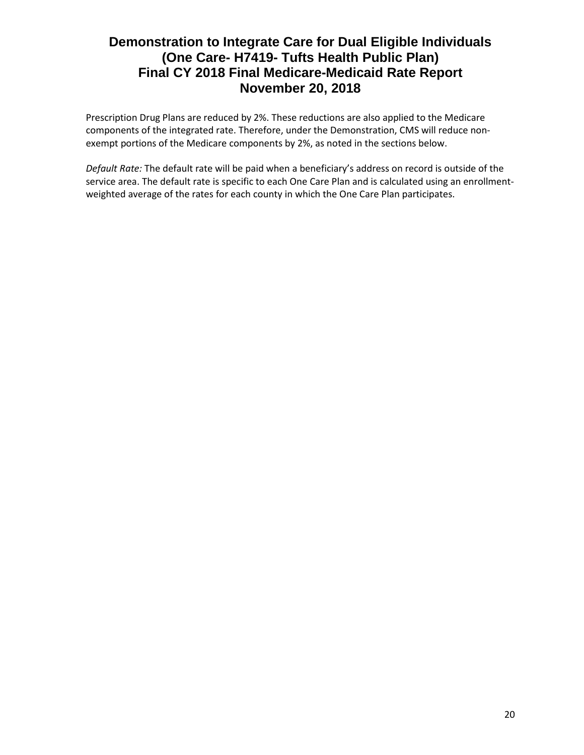Prescription Drug Plans are reduced by 2%. These reductions are also applied to the Medicare components of the integrated rate. Therefore, under the Demonstration, CMS will reduce nonexempt portions of the Medicare components by 2%, as noted in the sections below.

*Default Rate:* The default rate will be paid when a beneficiary's address on record is outside of the service area. The default rate is specific to each One Care Plan and is calculated using an enrollmentweighted average of the rates for each county in which the One Care Plan participates.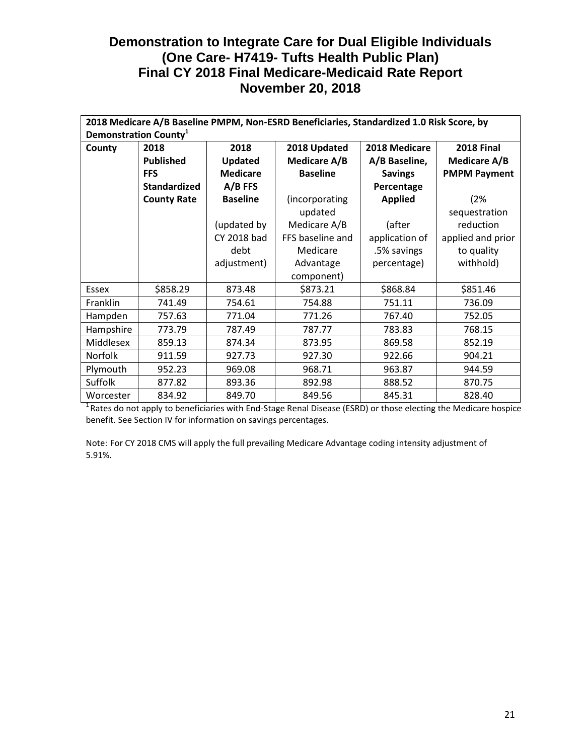|                |                                   |                 | 2018 Medicare A/B Baseline PMPM, Non-ESRD Beneficiaries, Standardized 1.0 Risk Score, by |                |                     |
|----------------|-----------------------------------|-----------------|------------------------------------------------------------------------------------------|----------------|---------------------|
|                | Demonstration County <sup>1</sup> |                 |                                                                                          |                |                     |
| County         | 2018                              | 2018            | 2018 Updated                                                                             | 2018 Medicare  | <b>2018 Final</b>   |
|                | <b>Published</b>                  | Updated         | <b>Medicare A/B</b>                                                                      | A/B Baseline,  | Medicare A/B        |
|                | <b>FFS</b>                        | <b>Medicare</b> | <b>Baseline</b>                                                                          | <b>Savings</b> | <b>PMPM Payment</b> |
|                | <b>Standardized</b>               | $A/B$ FFS       |                                                                                          | Percentage     |                     |
|                | <b>County Rate</b>                | <b>Baseline</b> | (incorporating                                                                           | <b>Applied</b> | (2%                 |
|                |                                   |                 | updated                                                                                  |                | sequestration       |
|                |                                   | (updated by     | Medicare A/B                                                                             | (after         | reduction           |
|                |                                   | CY 2018 bad     | FFS baseline and                                                                         | application of | applied and prior   |
|                |                                   | debt            | Medicare                                                                                 | .5% savings    | to quality          |
|                |                                   | adjustment)     | Advantage                                                                                | percentage)    | withhold)           |
|                |                                   |                 | component)                                                                               |                |                     |
| Essex          | \$858.29                          | 873.48          | \$873.21                                                                                 | \$868.84       | \$851.46            |
| Franklin       | 741.49                            | 754.61          | 754.88                                                                                   | 751.11         | 736.09              |
| Hampden        | 757.63                            | 771.04          | 771.26                                                                                   | 767.40         | 752.05              |
| Hampshire      | 773.79                            | 787.49          | 787.77                                                                                   | 783.83         | 768.15              |
| Middlesex      | 859.13                            | 874.34          | 873.95                                                                                   | 869.58         | 852.19              |
| <b>Norfolk</b> | 911.59                            | 927.73          | 927.30                                                                                   | 922.66         | 904.21              |
| Plymouth       | 952.23                            | 969.08          | 968.71                                                                                   | 963.87         | 944.59              |
| Suffolk        | 877.82                            | 893.36          | 892.98                                                                                   | 888.52         | 870.75              |
| Worcester      | 834.92                            | 849.70          | 849.56                                                                                   | 845.31         | 828.40              |

 $1$ Rates do not apply to beneficiaries with End-Stage Renal Disease (ESRD) or those electing the Medicare hospice benefit. See Section IV for information on savings percentages.

Note: For CY 2018 CMS will apply the full prevailing Medicare Advantage coding intensity adjustment of 5.91%.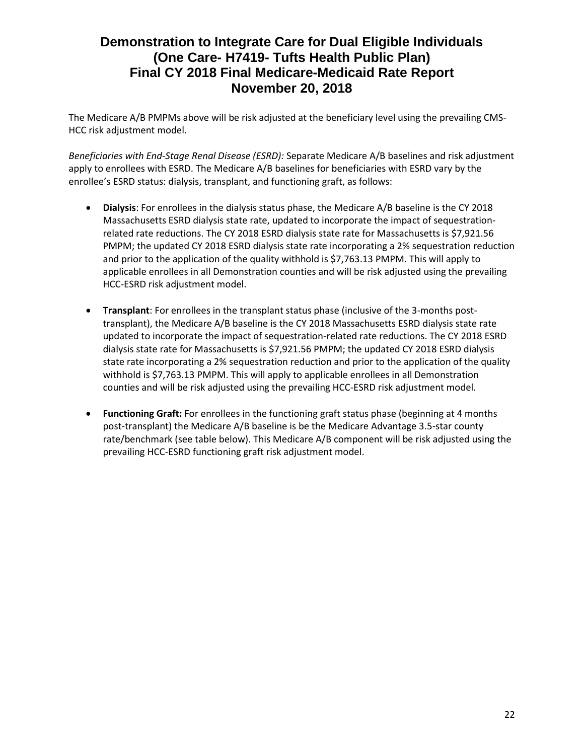The Medicare A/B PMPMs above will be risk adjusted at the beneficiary level using the prevailing CMS-HCC risk adjustment model.

*Beneficiaries with End-Stage Renal Disease (ESRD):* Separate Medicare A/B baselines and risk adjustment apply to enrollees with ESRD. The Medicare A/B baselines for beneficiaries with ESRD vary by the enrollee's ESRD status: dialysis, transplant, and functioning graft, as follows:

- **Dialysis**: For enrollees in the dialysis status phase, the Medicare A/B baseline is the CY 2018 Massachusetts ESRD dialysis state rate, updated to incorporate the impact of sequestrationrelated rate reductions. The CY 2018 ESRD dialysis state rate for Massachusetts is \$7,921.56 PMPM; the updated CY 2018 ESRD dialysis state rate incorporating a 2% sequestration reduction and prior to the application of the quality withhold is \$7,763.13 PMPM. This will apply to applicable enrollees in all Demonstration counties and will be risk adjusted using the prevailing HCC-ESRD risk adjustment model.
- **Transplant**: For enrollees in the transplant status phase (inclusive of the 3-months posttransplant), the Medicare A/B baseline is the CY 2018 Massachusetts ESRD dialysis state rate updated to incorporate the impact of sequestration-related rate reductions. The CY 2018 ESRD dialysis state rate for Massachusetts is \$7,921.56 PMPM; the updated CY 2018 ESRD dialysis state rate incorporating a 2% sequestration reduction and prior to the application of the quality withhold is \$7,763.13 PMPM. This will apply to applicable enrollees in all Demonstration counties and will be risk adjusted using the prevailing HCC-ESRD risk adjustment model.
- **Functioning Graft:** For enrollees in the functioning graft status phase (beginning at 4 months post-transplant) the Medicare A/B baseline is be the Medicare Advantage 3.5-star county rate/benchmark (see table below). This Medicare A/B component will be risk adjusted using the prevailing HCC-ESRD functioning graft risk adjustment model.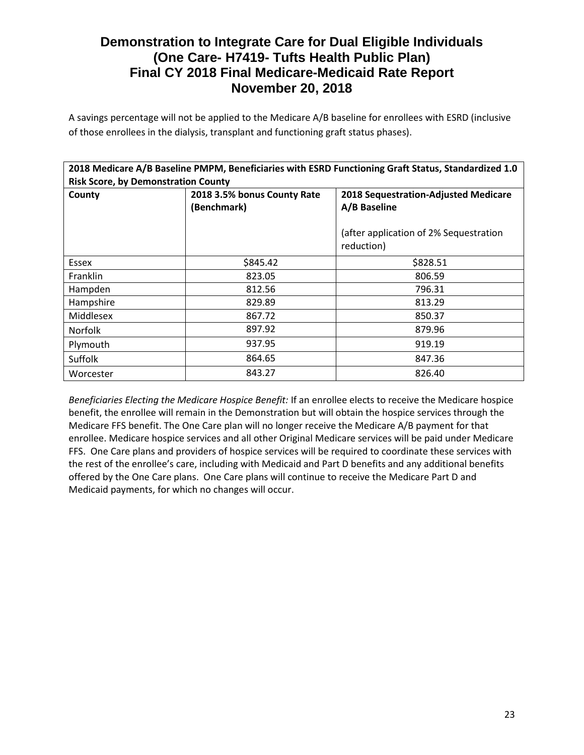A savings percentage will not be applied to the Medicare A/B baseline for enrollees with ESRD (inclusive of those enrollees in the dialysis, transplant and functioning graft status phases).

|                                            |                             | 2018 Medicare A/B Baseline PMPM, Beneficiaries with ESRD Functioning Graft Status, Standardized 1.0 |
|--------------------------------------------|-----------------------------|-----------------------------------------------------------------------------------------------------|
| <b>Risk Score, by Demonstration County</b> |                             |                                                                                                     |
| County                                     | 2018 3.5% bonus County Rate | <b>2018 Sequestration-Adjusted Medicare</b>                                                         |
|                                            | (Benchmark)                 | A/B Baseline                                                                                        |
|                                            |                             | (after application of 2% Sequestration<br>reduction)                                                |
| Essex                                      | \$845.42                    | \$828.51                                                                                            |
| <b>Franklin</b>                            | 823.05                      | 806.59                                                                                              |
| Hampden                                    | 812.56                      | 796.31                                                                                              |
| Hampshire                                  | 829.89                      | 813.29                                                                                              |
| Middlesex                                  | 867.72                      | 850.37                                                                                              |
| <b>Norfolk</b>                             | 897.92                      | 879.96                                                                                              |
| Plymouth                                   | 937.95                      | 919.19                                                                                              |
| Suffolk                                    | 864.65                      | 847.36                                                                                              |
| Worcester                                  | 843.27                      | 826.40                                                                                              |

*Beneficiaries Electing the Medicare Hospice Benefit:* If an enrollee elects to receive the Medicare hospice benefit, the enrollee will remain in the Demonstration but will obtain the hospice services through the Medicare FFS benefit. The One Care plan will no longer receive the Medicare A/B payment for that enrollee. Medicare hospice services and all other Original Medicare services will be paid under Medicare FFS. One Care plans and providers of hospice services will be required to coordinate these services with the rest of the enrollee's care, including with Medicaid and Part D benefits and any additional benefits offered by the One Care plans. One Care plans will continue to receive the Medicare Part D and Medicaid payments, for which no changes will occur.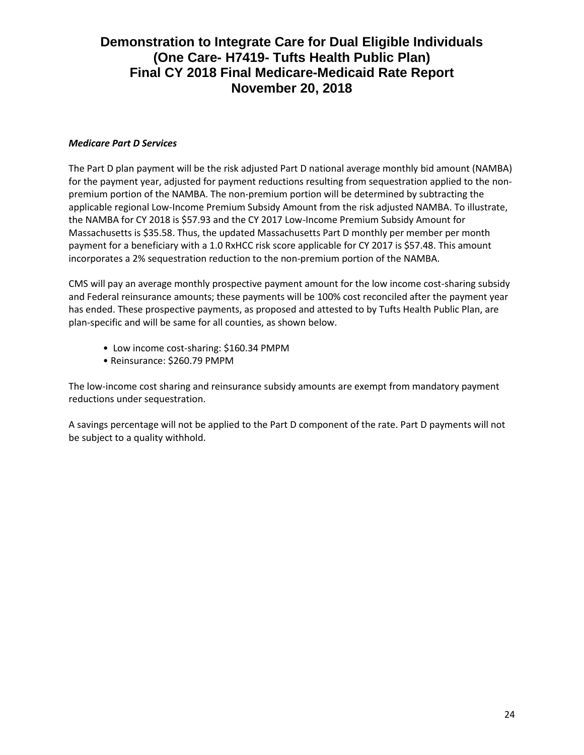### *Medicare Part D Services*

The Part D plan payment will be the risk adjusted Part D national average monthly bid amount (NAMBA) for the payment year, adjusted for payment reductions resulting from sequestration applied to the nonpremium portion of the NAMBA. The non-premium portion will be determined by subtracting the applicable regional Low-Income Premium Subsidy Amount from the risk adjusted NAMBA. To illustrate, the NAMBA for CY 2018 is \$57.93 and the CY 2017 Low-Income Premium Subsidy Amount for Massachusetts is \$35.58. Thus, the updated Massachusetts Part D monthly per member per month payment for a beneficiary with a 1.0 RxHCC risk score applicable for CY 2017 is \$57.48. This amount incorporates a 2% sequestration reduction to the non-premium portion of the NAMBA.

CMS will pay an average monthly prospective payment amount for the low income cost-sharing subsidy and Federal reinsurance amounts; these payments will be 100% cost reconciled after the payment year has ended. These prospective payments, as proposed and attested to by Tufts Health Public Plan, are plan-specific and will be same for all counties, as shown below.

- Low income cost-sharing: \$160.34 PMPM
- Reinsurance: \$260.79 PMPM

The low-income cost sharing and reinsurance subsidy amounts are exempt from mandatory payment reductions under sequestration.

A savings percentage will not be applied to the Part D component of the rate. Part D payments will not be subject to a quality withhold.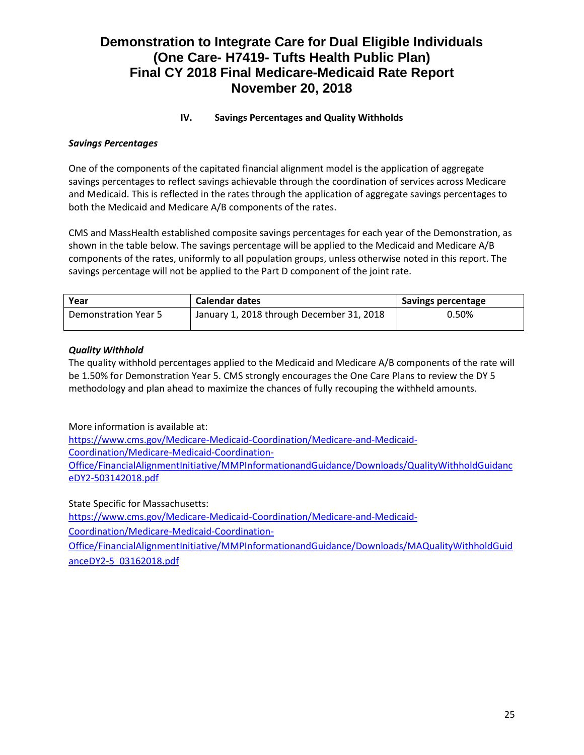# **IV. Savings Percentages and Quality Withholds**

# *Savings Percentages*

One of the components of the capitated financial alignment model is the application of aggregate savings percentages to reflect savings achievable through the coordination of services across Medicare and Medicaid. This is reflected in the rates through the application of aggregate savings percentages to both the Medicaid and Medicare A/B components of the rates.

CMS and MassHealth established composite savings percentages for each year of the Demonstration, as shown in the table below. The savings percentage will be applied to the Medicaid and Medicare A/B components of the rates, uniformly to all population groups, unless otherwise noted in this report. The savings percentage will not be applied to the Part D component of the joint rate.

| Year                        | <b>Calendar dates</b>                     | Savings percentage |
|-----------------------------|-------------------------------------------|--------------------|
| <b>Demonstration Year 5</b> | January 1, 2018 through December 31, 2018 | 0.50%              |

### *Quality Withhold*

The quality withhold percentages applied to the Medicaid and Medicare A/B components of the rate will be 1.50% for Demonstration Year 5. CMS strongly encourages the One Care Plans to review the DY 5 methodology and plan ahead to maximize the chances of fully recouping the withheld amounts.

More information is available at:

https://www.cms.gov/Medicare-Medicaid-Coordination/Medicare-and-Medicaid-Coordination/Medicare-Medicaid-Coordination-Office/FinancialAlignmentInitiative/MMPInformationandGuidance/Downloads/QualityWithholdGuidanc eDY2-503142018.pdf

State Specific for Massachusetts: [https://www.cms.gov/Medicare-Medicaid-Coordination/Medicare-and-Medicaid-](https://www.cms.gov/Medicare-Medicaid-Coordination/Medicare-and-Medicaid-Coordination/Medicare-Medicaid-Coordination-Office/FinancialAlignmentInitiative/MMPInformationandGuidance/Downloads/MAQualityWithholdGuidanceDY2-5_03162018.pdf)[Coordination/Medicare-Medicaid-Coordination-](https://www.cms.gov/Medicare-Medicaid-Coordination/Medicare-and-Medicaid-Coordination/Medicare-Medicaid-Coordination-Office/FinancialAlignmentInitiative/MMPInformationandGuidance/Downloads/MAQualityWithholdGuidanceDY2-5_03162018.pdf)[Office/FinancialAlignmentInitiative/MMPInformationandGuidance/Downloads/MAQualityWithholdGuid](https://www.cms.gov/Medicare-Medicaid-Coordination/Medicare-and-Medicaid-Coordination/Medicare-Medicaid-Coordination-Office/FinancialAlignmentInitiative/MMPInformationandGuidance/Downloads/MAQualityWithholdGuidanceDY2-5_03162018.pdf)

[anceDY2-5\\_03162018.pdf](https://www.cms.gov/Medicare-Medicaid-Coordination/Medicare-and-Medicaid-Coordination/Medicare-Medicaid-Coordination-Office/FinancialAlignmentInitiative/MMPInformationandGuidance/Downloads/MAQualityWithholdGuidanceDY2-5_03162018.pdf)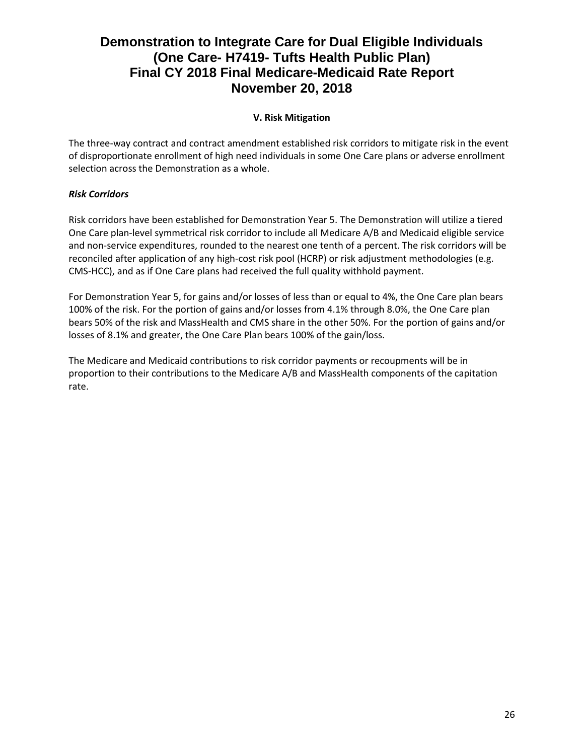# **V. Risk Mitigation**

The three-way contract and contract amendment established risk corridors to mitigate risk in the event of disproportionate enrollment of high need individuals in some One Care plans or adverse enrollment selection across the Demonstration as a whole.

# *Risk Corridors*

Risk corridors have been established for Demonstration Year 5. The Demonstration will utilize a tiered One Care plan-level symmetrical risk corridor to include all Medicare A/B and Medicaid eligible service and non-service expenditures, rounded to the nearest one tenth of a percent. The risk corridors will be reconciled after application of any high-cost risk pool (HCRP) or risk adjustment methodologies (e.g. CMS-HCC), and as if One Care plans had received the full quality withhold payment.

For Demonstration Year 5, for gains and/or losses of less than or equal to 4%, the One Care plan bears 100% of the risk. For the portion of gains and/or losses from 4.1% through 8.0%, the One Care plan bears 50% of the risk and MassHealth and CMS share in the other 50%. For the portion of gains and/or losses of 8.1% and greater, the One Care Plan bears 100% of the gain/loss.

The Medicare and Medicaid contributions to risk corridor payments or recoupments will be in proportion to their contributions to the Medicare A/B and MassHealth components of the capitation rate.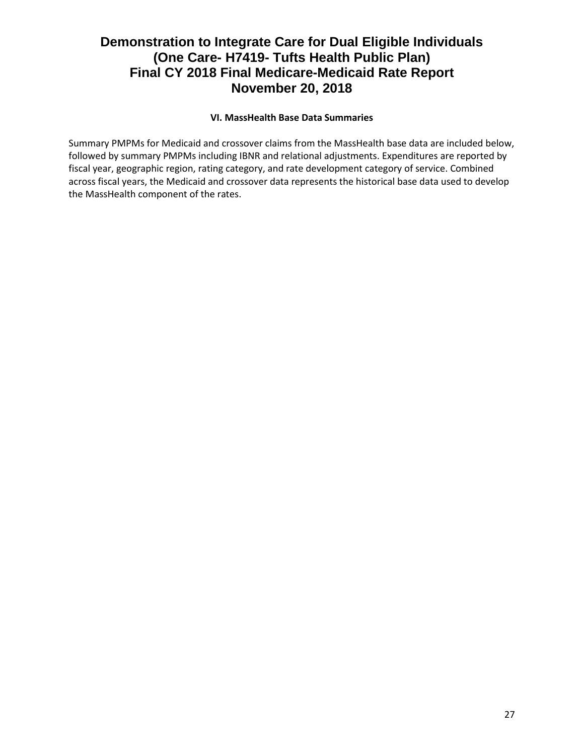# **VI. MassHealth Base Data Summaries**

Summary PMPMs for Medicaid and crossover claims from the MassHealth base data are included below, followed by summary PMPMs including IBNR and relational adjustments. Expenditures are reported by fiscal year, geographic region, rating category, and rate development category of service. Combined across fiscal years, the Medicaid and crossover data represents the historical base data used to develop the MassHealth component of the rates.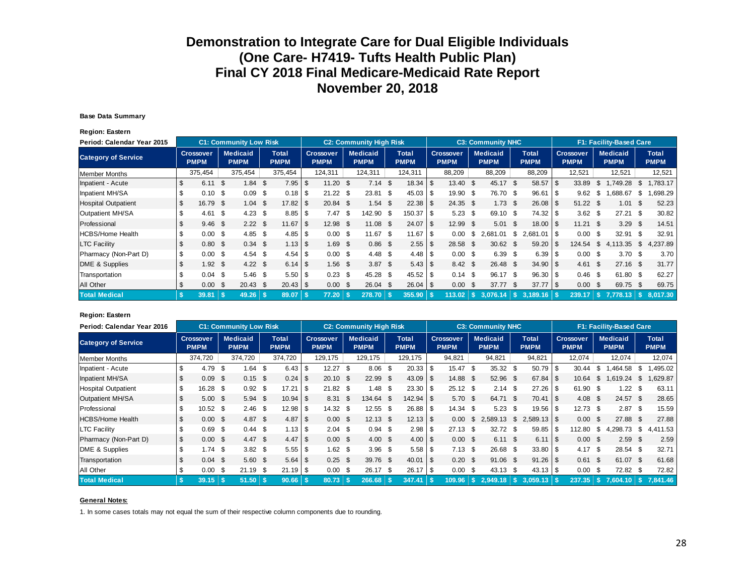#### **Base Data Summary**

**Region: Eastern**

| Period: Calendar Year 2015 |      |                                 |      | <b>C1: Community Low Risk</b>  |      |                             |      |                                 |      | <b>C2: Community High Risk</b> |                             |      |                                 |      | <b>C3: Community NHC</b>       |      |                             |      |                                 |     | <b>F1: Facility-Based Care</b> |      |                             |
|----------------------------|------|---------------------------------|------|--------------------------------|------|-----------------------------|------|---------------------------------|------|--------------------------------|-----------------------------|------|---------------------------------|------|--------------------------------|------|-----------------------------|------|---------------------------------|-----|--------------------------------|------|-----------------------------|
| <b>Category of Service</b> |      | <b>Crossover</b><br><b>PMPM</b> |      | <b>Medicaid</b><br><b>PMPM</b> |      | <b>Total</b><br><b>PMPM</b> |      | <b>Crossover</b><br><b>PMPM</b> |      | <b>Medicaid</b><br><b>PMPM</b> | <b>Total</b><br><b>PMPM</b> |      | <b>Crossover</b><br><b>PMPM</b> |      | <b>Medicaid</b><br><b>PMPM</b> |      | <b>Total</b><br><b>PMPM</b> |      | <b>Crossover</b><br><b>PMPM</b> |     | <b>Medicaid</b><br><b>PMPM</b> |      | <b>Total</b><br><b>PMPM</b> |
| Member Months              |      | 375,454                         |      | 375,454                        |      | 375,454                     |      | 124,311                         |      | 124,311                        | 124,311                     |      | 88,209                          |      | 88,209                         |      | 88,209                      |      | 12,521                          |     | 12,521                         |      | 12,521                      |
| Inpatient - Acute          | S    | 6.11                            | \$.  | 1.84                           | - \$ | $7.95$ \$                   |      | $11.20$ \$                      |      | $7.14$ \$                      |                             |      | $13.40$ \$                      |      | 45.17                          | \$   | 58.57                       | \$   | 33.89                           | S   | .749.28                        | \$.  | .783.17                     |
| Inpatient MH/SA            |      | 0.10                            | \$.  | 0.09                           | - \$ |                             |      | $21.22$ \$                      |      | $23.81$ \$                     | $45.03$ \$                  |      | 19.90 \$                        |      | 76.70 \$                       |      | $96.61$ \ \$                |      | 9.62                            | \$. | 688.67                         | \$.  | .698.29                     |
| <b>Hospital Outpatient</b> |      | 16.79                           | - \$ | 1.04                           | - \$ | 17.82                       |      | 20.84 \$                        |      | 1.54                           | \$                          |      | $24.35$ \$                      |      | $1.73$ \$                      |      | 26.08                       | - \$ | $51.22$ \$                      |     | 1.01                           | - \$ | 52.23                       |
| Outpatient MH/SA           |      | 4.61                            | \$   | 4.23                           | - \$ | $8.85$ \ \ \$               |      | 7.47                            | - \$ | 142.90 \$                      | $150.37$ \$                 |      | 5.23                            | - \$ | 69.10                          | - \$ | 74.32                       | - \$ | $3.62$ \$                       |     | 27.21                          | - \$ | 30.82                       |
| Professional               | \$   | 9.46                            | - \$ | $2.22 \quad$ \$                |      | 11.67                       | l \$ | $12.98$ \$                      |      | $11.08$ \$                     | 24.07                       | l \$ | 12.99 \$                        |      | 5.01                           | - \$ | 18.00                       | - \$ | $11.21$ \$                      |     | 3.29                           | - \$ | 14.51                       |
| <b>HCBS/Home Health</b>    |      | 0.00                            | -\$  | $4.85$ \$                      |      |                             |      | $0.00\,$ \$                     |      | $11.67$ \$                     | 11.67                       | l \$ | 0.00                            | S.   | 2.681.01                       | -S   | $2,681.01$ \ \$             |      | $0.00 \,$ \$                    |     | 32.91                          | - \$ | 32.91                       |
| <b>LTC Facility</b>        |      | 0.80                            | -\$  | $0.34 \text{ } $s$             |      |                             |      | $1.69$ \$                       |      | $0.86$ \$                      |                             |      | 28.58                           | - \$ | $30.62$ \$                     |      | 59.20                       | -\$  | 124.54                          | \$  | 4,113.35                       | S.   | 4,237.89                    |
| Pharmacy (Non-Part D)      | \$   | 0.00                            | - \$ | 4.54                           | - \$ |                             |      | $0.00 \,$ \$                    |      | $4.48 \quad $$                 | $4.48$ \ \$                 |      | $0.00 \,$ \$                    |      | 6.39 <sup>5</sup>              |      | 6.39                        | - \$ | $0.00 \,$ \$                    |     | 3.70 <sup>5</sup>              |      | 3.70                        |
| DME & Supplies             | \$   | 1.92                            | - \$ | $4.22 \quad $$                 |      |                             |      | $1.56$ \$                       |      | $3.87$ \$                      |                             |      | $8.42 \quad $$                  |      | 26.48                          | - \$ | $34.90$ \$                  |      | $4.61 \text{ }$ \$              |     | $27.16$ \$                     |      | 31.77                       |
| Transportation             | \$   | $0.04$ \$                       |      | $5.46$ \$                      |      | $5.50$ \ \$                 |      | $0.23$ \$                       |      | 45.28 \$                       |                             |      | $0.14$ \$                       |      | 96.17 \$                       |      | 96.30                       | -\$  | $0.46$ \$                       |     | 61.80 \$                       |      | 62.27                       |
| All Other                  | \$   | 0.00                            | \$   | $20.43$ \$                     |      |                             |      | $0.00 \,$ \$                    |      | $26.04$ \$                     | $26.04$ \$                  |      | 0.00                            | - \$ | 37.77                          | - \$ | 37.77                       | ۱S.  | $0.00 \,$ \$                    |     | 69.75 \$                       |      | 69.75                       |
| <b>Total Medical</b>       | - \$ | 39.81                           |      |                                |      | 89.07                       |      | 77.20                           |      | 278.70                         | 355,90                      |      | 113.02                          |      | 3.076.14                       | S.   | 3.189.16                    |      | 239.17                          |     | 7.778.13                       | - 5  | 8.017.30                    |

#### **Region: Eastern**

| Period: Calendar Year 2016 |     |                                 |      | <b>C1: Community Low Risk</b>  |      |                             |                |                                 |       | <b>C2: Community High Risk</b> |                             |            |                                 |      | <b>C3: Community NHC</b>       |     |                             |                                 |      | <b>F1: Facility-Based Care</b> |      |                             |
|----------------------------|-----|---------------------------------|------|--------------------------------|------|-----------------------------|----------------|---------------------------------|-------|--------------------------------|-----------------------------|------------|---------------------------------|------|--------------------------------|-----|-----------------------------|---------------------------------|------|--------------------------------|------|-----------------------------|
| <b>Category of Service</b> |     | <b>Crossover</b><br><b>PMPM</b> |      | <b>Medicaid</b><br><b>PMPM</b> |      | <b>Total</b><br><b>PMPM</b> |                | <b>Crossover</b><br><b>PMPM</b> |       | <b>Medicaid</b><br><b>PMPM</b> | <b>Total</b><br><b>PMPM</b> |            | <b>Crossover</b><br><b>PMPM</b> |      | <b>Medicaid</b><br><b>PMPM</b> |     | <b>Total</b><br><b>PMPM</b> | <b>Crossover</b><br><b>PMPM</b> |      | <b>Medicaid</b><br><b>PMPM</b> |      | <b>Total</b><br><b>PMPM</b> |
| <b>Member Months</b>       |     | 374,720                         |      | 374,720                        |      | 374,720                     |                | 129,175                         |       | 129,175                        | 129,175                     |            | 94,821                          |      | 94,821                         |     | 94,821                      | 12,074                          |      | 12,074                         |      | 12,074                      |
| Inpatient - Acute          |     | 4.79                            | £.   | 1.64                           | S.   | $6.43$ \ $$$                |                | 12.27                           | ີ \$⊺ | $8.06$ \$                      | 20.33                       | \$.        | 15.47                           | S.   | 35.32                          | \$  | $50.79$ \$                  | 30.44                           | - \$ | .464.58                        | -S   | .495.02                     |
| Inpatient MH/SA            | -S  | 0.09                            | -\$  | $0.15$ \$                      |      | 0.24                        | $\overline{1}$ | $20.10 \text{ }$ \$             |       | $22.99$ \$                     |                             |            | 14.88 \$                        |      | 52.96 \$                       |     | $67.84$ \ \ \$              | 10.64                           | - S  | 1,619.24                       | \$   | 1,629.87                    |
| <b>Hospital Outpatient</b> |     | 16.28                           | -\$  | $0.92 \quad $$                 |      | 17.21                       |                | $21.82$ \$                      |       | 1.48 \$                        |                             |            | $25.12$ \$                      |      | 2.14                           | \$  |                             | 61.90 \$                        |      | 1.22                           | - \$ | 63.11                       |
| Outpatient MH/SA           |     | 5.00                            | -\$  | 5.94                           | - \$ | 10.94                       | l \$           | $8.31$ \$                       |       | 134.64 \$                      |                             |            | 5.70                            | -\$  | 64.71                          | -\$ | $70.41$ \ \$                | $4.08 \quad $$                  |      | $24.57$ \$                     |      | 28.65                       |
| Professional               | S.  | $10.52$ \$                      |      | $2.46$ \$                      |      | 12.98                       |                | $14.32$ \$                      |       | $12.55$ \$                     | $26.88$ \ \ \$              |            | 14.34                           | - \$ | 5.23                           | \$  | $19.56$ \$                  | $12.73$ \$                      |      | $2.87$ \$                      |      | 15.59                       |
| <b>HCBS/Home Health</b>    | \$  | $0.00 \text{ }$ \$              |      | $4.87$ \$                      |      | 4.87                        | $\sqrt{3}$     | $0.00 \,$ \$                    |       | $12.13$ \$                     |                             |            | 0.00                            | \$   | 2.589.13                       | \$  |                             | $0.00 \,$ \$                    |      | 27.88 \$                       |      | 27.88                       |
| <b>LTC Facility</b>        |     | 0.69                            | \$   | $0.44 \text{ } $$              |      | 1.13                        |                | $2.04$ \$                       |       | $0.94$ \$                      |                             |            | 27.13                           | - \$ | 32.72                          | -\$ | $59.85$ \ \$                | 112.80                          | - \$ | .298.73<br>4                   | \$   | 4.411.53                    |
| Pharmacy (Non-Part D)      | \$  | $0.00 \,$ \$                    |      | 4.47 $$$                       |      | 4.47                        | $\overline{5}$ | $0.00 \,$ \$                    |       | $4.00 \text{ }$ \$             |                             |            | $0.00 \,$ \$                    |      | $6.11 \text{ } $$              |     |                             | $0.00 \text{ }$ \$              |      | $2.59$ \$                      |      | 2.59                        |
| DME & Supplies             | \$  | $1.74$ \$                       |      | $3.82$ \$                      |      |                             |                | $1.62 \quad$ \$                 |       | $3.96$ \$                      |                             |            | 7.13                            | \$   | 26.68 \$                       |     | $33.80$ \ \$                | $4.17$ \$                       |      | $28.54$ \$                     |      | 32.71                       |
| Transportation             | \$. | $0.04$ \$                       |      | $5.60$ \$                      |      | $5.64$ \ \ \$               |                | $0.25$ \$                       |       | $39.76$ \$                     | 40.01                       | $\sqrt{3}$ | 0.20                            | - \$ | $91.06$ \$                     |     |                             | $0.61$ \$                       |      | 61.07 \$                       |      | 61.68                       |
| All Other                  | S.  | 0.00                            | - \$ | $21.19$ \$                     |      | $21.19$ \$                  |                | $0.00 \,$ \$                    |       | 26.17 \$                       |                             |            | 0.00                            | - \$ | $43.13$ \$                     |     | $43.13$ \$                  | $0.00 \,$ \$                    |      | 72.82 \$                       |      | 72.82                       |
| <b>Total Medical</b>       | -S  | 39.15                           | -S   | $51.50$ \ \$                   |      | 90.66                       |                | 80.73                           |       | 266.68                         | 347.41                      |            | 109.96                          | -S.  | 2,949.18                       |     | $3.059.13$ \ \$             |                                 |      | $237.35$   \$ 7.604.10         |      | 7.841.46                    |

#### **General Notes:**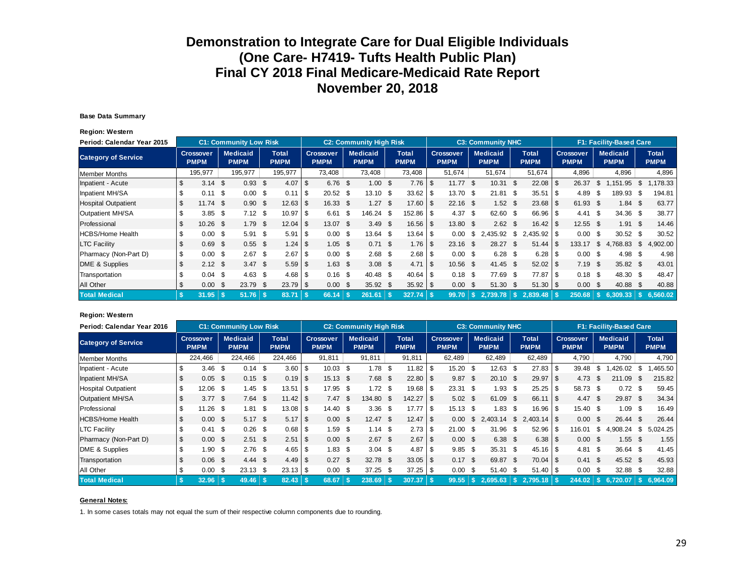#### **Base Data Summary**

**Region: Western**

| Period: Calendar Year 2015 |     |                                 |      | <b>C1: Community Low Risk</b>  |      |                      |            |                                 | <b>C2: Community High Risk</b> |                             |     |                          |      | <b>C3: Community NHC</b>       |      |                             |      |                                 |      | F1: Facility-Based Care        |    |                             |
|----------------------------|-----|---------------------------------|------|--------------------------------|------|----------------------|------------|---------------------------------|--------------------------------|-----------------------------|-----|--------------------------|------|--------------------------------|------|-----------------------------|------|---------------------------------|------|--------------------------------|----|-----------------------------|
| <b>Category of Service</b> |     | <b>Crossover</b><br><b>PMPM</b> |      | <b>Medicaid</b><br><b>PMPM</b> |      | Total<br><b>PMPM</b> |            | <b>Crossover</b><br><b>PMPM</b> | <b>Medicaid</b><br><b>PMPM</b> | <b>Total</b><br><b>PMPM</b> |     | Crossover<br><b>PMPM</b> |      | <b>Medicaid</b><br><b>PMPM</b> |      | <b>Total</b><br><b>PMPM</b> |      | <b>Crossover</b><br><b>PMPM</b> |      | <b>Medicaid</b><br><b>PMPM</b> |    | <b>Total</b><br><b>PMPM</b> |
| Member Months              |     | 195,977                         |      | 195,977                        |      | 195,977              |            | 73,408                          | 73,408                         | 73,408                      |     | 51,674                   |      | 51,674                         |      | 51,674                      |      | 4,896                           |      | 4,896                          |    | 4,896                       |
| Inpatient - Acute          | \$  | $3.14$ \$                       |      | $0.93$ \$                      |      | 4.07                 | \$         | $6.76$ \$                       | $1.00 \text{ }$ \$             | $7.76$ \$                   |     | $11.77$ \$               |      | 10.31                          | - \$ | $22.08$ \$                  |      | 26.37                           | S.   | .151.95                        | \$ | 178.33                      |
| Inpatient MH/SA            |     | 0.11                            | \$   | 0.00                           | - \$ | 0.11                 | $\sqrt{S}$ | $20.52$ \$                      | $13.10$ \$                     | 33.62                       | \$  | 13.70                    | - \$ | 21.81                          | - \$ | 35.51                       | 1 S  | 4.89                            | - \$ | 189.93                         | \$ | 194.81                      |
| <b>Hospital Outpatient</b> | \$  | $11.74$ \$                      |      | 0.90                           | - \$ |                      |            | 16.33 \$                        | 1.27S                          |                             |     | $22.16$ \$               |      | $1.52$ \$                      |      | $23.68$ \$                  |      | 61.93 \$                        |      | $1.84$ \$                      |    | 63.77                       |
| Outpatient MH/SA           |     | $3.85$ \$                       |      | $7.12$ \$                      |      |                      |            | $6.61$ \$                       | 146.24 \$                      | $152.86$ \ \$               |     | 4.37                     | - \$ | 62.60 \$                       |      | 66.96 \$                    |      | 4.41 S                          |      | 34.36 \$                       |    | 38.77                       |
| Professional               | \$  | $10.26$ \$                      |      | $1.79$ \$                      |      |                      |            | 13.07 \$                        | 3.49 S                         |                             |     | 13.80 \$                 |      | $2.62 \quad $$                 |      |                             |      | $12.55$ \$                      |      | $1.91$ \$                      |    | 14.46                       |
| <b>HCBS/Home Health</b>    | \$  | 0.00                            | -\$  | $5.91$ \$                      |      | 5.91                 | l \$       | $0.00 \,$ \$                    | $13.64$ \$                     | 13.64                       | -\$ | 0.00                     | - \$ | 2,435.92 \$                    |      | 2,435.92 \$                 |      | $0.00 \text{ }$ \$              |      | $30.52$ \$                     |    | 30.52                       |
| <b>LTC Facility</b>        |     | 0.69                            | - \$ | $0.55$ \$                      |      |                      |            | $1.05$ \$                       | $0.71 \text{ }$ \$             | 1.76                        | -\$ | $23.16$ \$               |      | 28.27                          | - \$ | 51.44                       | ∣\$. | 133.17                          | \$   | 4,768.83                       | \$ | 4,902.00                    |
| Pharmacy (Non-Part D)      | \$  | 0.00                            | -\$  | $2.67$ \$                      |      | 2.67                 | l \$       | $0.00 \text{ }$ \$              | $2.68$ \$                      | 2.68                        | \$  | $0.00 \text{ }$ \$       |      | $6.28$ \$                      |      |                             |      | $0.00 \text{ }$ \$              |      | 4.98                           | \$ | 4.98                        |
| DME & Supplies             | \$  | $2.12$ \$                       |      | $3.47$ \$                      |      |                      |            | $1.63$ \$                       | $3.08$ \$                      | 4.71                        | -\$ | 10.56 \$                 |      | $41.45$ \$                     |      |                             |      | $7.19$ \$                       |      | 35.82 \$                       |    | 43.01                       |
| Transportation             |     | $0.04$ \$                       |      | $4.63$ \$                      |      |                      |            | $0.16$ \$                       | 40.48 \$                       | 40.64                       | -\$ | $0.18$ \$                |      | 77.69 \$                       |      | 77.87 \$                    |      | $0.18$ \$                       |      | 48.30 \$                       |    | 48.47                       |
| All Other                  | S   | 0.00                            | - \$ | 23.79 \$                       |      |                      |            | $0.00 \text{ }$ \$              | $35.92$ \$                     |                             |     | 0.00                     | - \$ | 51.30 \$                       |      |                             |      | $0.00 \text{ }$ \$              |      | 40.88 \$                       |    | 40.88                       |
| <b>Total Medical</b>       | -\$ | 31.95                           |      | $51.76$ \ \$                   |      | 83.71                |            | 66.14                           | 261.61                         | $327.74$ S                  |     | 99.70                    | - 55 | 2.739.78                       | ١s   | 2.839.48                    |      | 250.68                          |      | 6.309.33                       | -S | 6.560.02                    |

#### **Region: Western**

| Period: Calendar Year 2016 |                    |                                 |      | <b>C1: Community Low Risk</b>  |      |                             |      |                                 | <b>C2: Community High Risk</b> |                             |          |                                 |      | <b>C3: Community NHC</b> |              |                             |                                 |      | F1: Facility-Based Care        |    |                             |
|----------------------------|--------------------|---------------------------------|------|--------------------------------|------|-----------------------------|------|---------------------------------|--------------------------------|-----------------------------|----------|---------------------------------|------|--------------------------|--------------|-----------------------------|---------------------------------|------|--------------------------------|----|-----------------------------|
| <b>Category of Service</b> |                    | <b>Crossover</b><br><b>PMPM</b> |      | <b>Medicaid</b><br><b>PMPM</b> |      | <b>Total</b><br><b>PMPM</b> |      | <b>Crossover</b><br><b>PMPM</b> | <b>Medicaid</b><br><b>PMPM</b> | <b>Total</b><br><b>PMPM</b> |          | <b>Crossover</b><br><b>PMPM</b> |      | Medicaid<br><b>PMPM</b>  |              | <b>Total</b><br><b>PMPM</b> | <b>Crossover</b><br><b>PMPM</b> |      | <b>Medicaid</b><br><b>PMPM</b> |    | <b>Total</b><br><b>PMPM</b> |
| <b>Member Months</b>       |                    | 224,466                         |      | 224,466                        |      | 224,466                     |      | 91,811                          | 91.811                         | 91,811                      |          | 62,489                          |      | 62,489                   |              | 62,489                      | 4,790                           |      | 4,790                          |    | 4,790                       |
| Inpatient - Acute          |                    | 3.46                            | -S   | 0.14                           | - \$ | 3.60                        | -\$  | $10.03$ \$                      | $1.78$ \$                      | 11.82                       |          | 15.20                           | \$   | 12.63                    | \$           | $27.83$ \$                  | 39.48                           | - \$ | .426.02                        | S. | ,465.50                     |
| Inpatient MH/SA            | S.                 | $0.05$ \$                       |      | $0.15$ \$                      |      | 0.19                        | - \$ | $15.13$ \$                      | $7.68$ \$                      | 22.80                       | <b>S</b> | 9.87                            | - \$ | $20.10$ \$               |              | $29.97$ \$                  | 4.73 $$$                        |      | 211.09                         | -S | 215.82                      |
| <b>Hospital Outpatient</b> | \$.                | 12.06 \$                        |      | 1.45                           | - \$ | 13.51                       | -\$  | 17.95 \$                        | $1.72$ \$                      | 19.68                       | l \$     | $23.31$ \$                      |      | 1.93                     | \$           | $25.25$ \$                  | 58.73 \$                        |      | $0.72$ \$                      |    | 59.45                       |
| Outpatient MH/SA           | \$                 | $3.77$ \$                       |      | $7.64$ \$                      |      |                             |      | 7.47 S                          | 134.80 \$                      | 142.27                      | - \$     | $5.02 \text{ } $$               |      | 61.09                    | - \$         |                             | 4.47 S                          |      | 29.87 \$                       |    | 34.34                       |
| Professional               | S.                 | $11.26$ \$                      |      | 1.81                           | -\$  |                             |      | $14.40 \text{ } $$              | $3.36$ \$                      | 17.77                       | -\$      | 15.13                           | \$   | 1.83                     | \$.          | $16.96$ \$                  | 15.40 \$                        |      | 1.09 S                         |    | 16.49                       |
| <b>HCBS/Home Health</b>    | \$                 | $0.00\quad$ \$                  |      | $5.17$ \$                      |      |                             |      | $0.00 \,$ \$                    | $12.47$ \$                     |                             |          | 0.00                            | \$   | 2.403.14                 | \$           |                             | $0.00 \text{ }$ \$              |      | $26.44$ \$                     |    | 26.44                       |
| <b>LTC Facility</b>        |                    | 0.41                            | - \$ | $0.26$ \$                      |      | 0.68                        | -\$  | $1.59$ \$                       | $1.14$ \$                      | 2.73                        | l \$     | 21.00                           | \$   | 31.96                    | \$           | $52.96$ \$                  | 16.01                           | - S  | 4.908.24                       | \$ | 5,024.25                    |
| Pharmacy (Non-Part D)      | $\mathbf{\hat{S}}$ | $0.00 \,$ \$                    |      | $2.51$ \$                      |      | 2.51                        | ۱S.  | $0.00 \,$ \$                    | $2.67$ \$                      | 2.67                        | \$       | $0.00 \,$ \$                    |      | $6.38$ \$                |              | $6.38$ \ \ \$               | $0.00 \,$ \$                    |      | $1.55$ \$                      |    | 1.55                        |
| DME & Supplies             | \$                 | 1.90                            | \$   | $2.76$ \$                      |      |                             |      | $1.83$ \$                       | $3.04$ \$                      | 4.87                        | -S       | 9.85                            | \$   | 35.31                    | - \$         | $45.16$ \$                  | $4.81 \quad$ \$                 |      | $36.64$ \$                     |    | 41.45                       |
| Transportation             | \$                 | $0.06$ \$                       |      | $4.44 \text{ } $$              |      | 4.49                        | -\$  | $0.27$ \$                       | 32.78 \$                       | $33.05$ \$                  |          | 0.17                            | - \$ | 69.87                    | $\mathsf{s}$ | $70.04$ \$                  | $0.41 \text{ } $s$              |      | 45.52 \$                       |    | 45.93                       |
| All Other                  | S                  | 0.00                            | - \$ | $23.13$ \$                     |      |                             |      | $0.00\,$ \$                     | $37.25$ \$                     |                             |          | 0.00                            | - \$ | 51.40                    | - \$         | $51.40$ \ \$                | $0.00 \,$ \$                    |      | 32.88 \$                       |    | 32.88                       |
| <b>Total Medical</b>       |                    | 32.96                           |      |                                |      | 82.43                       |      | 68.67                           | 238.69                         | 307.37                      | -\$      | 99.55                           |      | $S$ 2.695.63 $S$         |              |                             |                                 |      | $244.02$ $\sqrt{5}$ 6,720.07   |    | 6.964.09                    |

#### **General Notes:**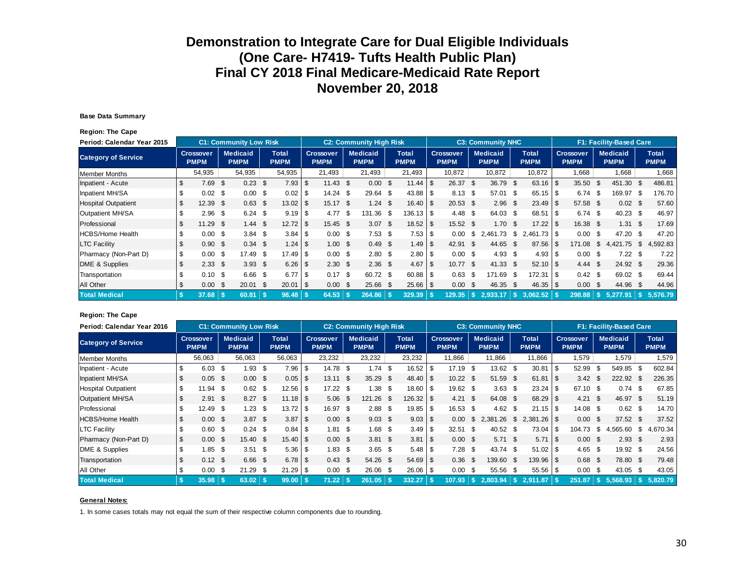#### **Base Data Summary**

**Region: The Cape**

| Period: Calendar Year 2015 |    |                                 |      | <b>C1: Community Low Risk</b>  |             |                             |                          |                                 |      | <b>C2: Community High Risk</b> |                             |      |                                 |      | <b>C3: Community NHC</b>       |      |                             |      |                          |      | F1: Facility-Based Care        |              |                             |
|----------------------------|----|---------------------------------|------|--------------------------------|-------------|-----------------------------|--------------------------|---------------------------------|------|--------------------------------|-----------------------------|------|---------------------------------|------|--------------------------------|------|-----------------------------|------|--------------------------|------|--------------------------------|--------------|-----------------------------|
| <b>Category of Service</b> |    | <b>Crossover</b><br><b>PMPM</b> |      | <b>Medicaid</b><br><b>PMPM</b> |             | <b>Total</b><br><b>PMPM</b> |                          | <b>Crossover</b><br><b>PMPM</b> |      | <b>Medicaid</b><br><b>PMPM</b> | <b>Total</b><br><b>PMPM</b> |      | <b>Crossover</b><br><b>PMPM</b> |      | <b>Medicaid</b><br><b>PMPM</b> |      | <b>Total</b><br><b>PMPM</b> |      | Crossover<br><b>PMPM</b> |      | <b>Medicaid</b><br><b>PMPM</b> |              | <b>Total</b><br><b>PMPM</b> |
| Member Months              |    | 54,935                          |      | 54,935                         |             | 54,935                      |                          | 21.493                          |      | 21,493                         | 21,493                      |      | 10,872                          |      | 10,872                         |      | 10,872                      |      | 1.668                    |      | 1,668                          |              | 1,668                       |
| Inpatient - Acute          | \$ | 7.69                            | \$   | 0.23                           | - \$        | $7.93$ \$                   |                          | $11.43$ \$                      |      | $0.00 \text{ }$ \$             | 11.44                       | l \$ | 26.37                           | - \$ | 36.79                          | - \$ | 63.16                       | -\$  | $35.50$ \$               |      | 451.30 \$                      |              | 486.81                      |
| Inpatient MH/SA            |    | 0.02                            | - \$ | 0.00                           | - \$        | $0.02$ \$                   |                          | $14.24$ \$                      |      | $29.64$ \$                     | $43.88$ \ \ \$              |      | $8.13$ \$                       |      | 57.01                          | - \$ | 65.15                       | -\$  | 6.74                     | - \$ | 169.97 \$                      |              | 176.70                      |
| <b>Hospital Outpatient</b> |    | 12.39                           | -\$  | 0.63                           | - \$        |                             |                          | $15.17$ \$                      |      | $1.24$ \$                      | $16.40$ \ \$                |      | $20.53$ \$                      |      | $2.96$ \$                      |      | 23.49                       | \$   | 57.58 \$                 |      | $0.02 \quad$ \$                |              | 57.60                       |
| Outpatient MH/SA           |    | 2.96                            | \$   | 6.24                           | - \$        | 9.19                        | - \$                     | 4.77                            | - \$ | 131.36 \$                      | 136.13 \$                   |      | 4.48                            | - \$ | 64.03 \$                       |      |                             |      | $6.74$ \$                |      | $40.23$ \$                     |              | 46.97                       |
| Professional               |    | 11.29                           | - \$ | 1.44                           | - \$        | 12.72                       | l \$                     | 15.45 \$                        |      | $3.07$ \$                      | $18.52$ \$                  |      | 15.52 \$                        |      | 1.70 <sup>5</sup>              |      | 17.22                       | - \$ | 16.38 \$                 |      | $1.31 \quad$ \$                |              | 17.69                       |
| <b>HCBS/Home Health</b>    |    | 0.00                            | \$   | $3.84$ \$                      |             |                             |                          | $0.00 \text{ }$ \$              |      | $7.53$ \$                      |                             |      | 0.00                            | S.   | .73<br>2.461                   | \$   | .73   \$<br>2.461           |      | $0.00 \,$ \$             |      | 47.20 \$                       |              | 47.20                       |
| <b>LTC Facility</b>        | \$ | 0.90                            | - \$ | $0.34$ \$                      |             |                             |                          | $1.00 \text{ }$ \$              |      | $0.49$ \$                      |                             |      | 42.91                           | - \$ | 44.65                          | - \$ | 87.56                       | - \$ | 171.08                   | \$   | 4,421.75 \$                    |              | 4,592.83                    |
| Pharmacy (Non-Part D)      | \$ | 0.00                            | -\$  | 17.49 \$                       |             | $17.49$ \ \$                |                          | $0.00 \text{ }$ \$              |      | $2.80\quad$                    | $2.80$ \$                   |      | $0.00 \text{ }$ \$              |      | 4.93 \$                        |      | 4.93                        | - \$ | $0.00 \text{ }$ \$       |      | $7.22$ \$                      |              | 7.22                        |
| DME & Supplies             | \$ | 2.33                            | \$   | $3.93$ \$                      |             |                             |                          | 2.30 <sup>5</sup>               |      | $2.36$ \$                      | 4.67                        | l \$ | $10.77$ \$                      |      | $41.33$ \$                     |      | 52.10                       | ∣\$  | 4.44                     | - \$ | 24.92 \$                       |              | 29.36                       |
| Transportation             |    | 0.10                            | - \$ | $6.66$ \$                      |             | 6.77                        | -\$                      | $0.17$ \$                       |      | 60.72 \$                       | $60.88$ \ \$                |      | 0.63                            | - \$ | 171.69                         | - \$ | 172.31 I                    | -\$  | $0.42 \text{ } $$        |      | 69.02 \$                       |              | 69.44                       |
| All Other                  |    | 0.00                            | - \$ | 20.01                          | - \$        | 20.01                       | $\overline{\phantom{a}}$ | $0.00 \,$ \$                    |      | 25.66 \$                       | $25.66$ \ \$                |      | 0.00                            | - \$ | 46.35                          | - \$ | 46.35                       | - \$ | $0.00 \,$ \$             |      | 44.96 \$                       |              | 44.96                       |
| <b>Total Medical</b>       | -S | 37.68                           |      | 60.81                          | <b>1 \$</b> | $98.48$ \$                  |                          | 64.53                           |      | $264.86$ \$                    | 329.39                      | - \$ | 129.35                          | l Si | 2.933.17                       | ١s   | 3.062.52                    |      | 298.88                   |      | 5.277.91                       | $\mathsf{S}$ | 5,576.79                    |

#### **Region: The Cape**

| Period: Calendar Year 2016 |     |                                 |      | <b>C1: Community Low Risk</b>  |      |                             |        |                                 | <b>C2: Community High Risk</b> |                             |          |                                 |      | <b>C3: Community NHC</b>       |      |                             |                                 |      | <b>F1: Facility-Based Care</b> |    |                             |
|----------------------------|-----|---------------------------------|------|--------------------------------|------|-----------------------------|--------|---------------------------------|--------------------------------|-----------------------------|----------|---------------------------------|------|--------------------------------|------|-----------------------------|---------------------------------|------|--------------------------------|----|-----------------------------|
| <b>Category of Service</b> |     | <b>Crossover</b><br><b>PMPM</b> |      | <b>Medicaid</b><br><b>PMPM</b> |      | <b>Total</b><br><b>PMPM</b> |        | <b>Crossover</b><br><b>PMPM</b> | <b>Medicaid</b><br><b>PMPM</b> | <b>Total</b><br><b>PMPM</b> |          | <b>Crossover</b><br><b>PMPM</b> |      | <b>Medicaid</b><br><b>PMPM</b> |      | <b>Total</b><br><b>PMPM</b> | <b>Crossover</b><br><b>PMPM</b> |      | <b>Medicaid</b><br><b>PMPM</b> |    | <b>Total</b><br><b>PMPM</b> |
| Member Months              |     | 56,063                          |      | 56,063                         |      | 56,063                      |        | 23,232                          | 23,232                         | 23,232                      |          | 11,866                          |      | 11,866                         |      | 11,866                      | 1,579                           |      | 1,579                          |    | 1,579                       |
| Inpatient - Acute          |     | 6.03                            | \$   | 1.93                           | -\$  | 7.96                        | -S     | 14.78 \$                        | $1.74$ \$                      | 16.52                       | \$       | 17.19                           | \$   | 13.62                          | \$   | $30.81$ \\$                 | 52.99                           | - \$ | 549.85                         |    | 602.84                      |
| Inpatient MH/SA            | S.  | $0.05$ \$                       |      | $0.00\,$ \$                    |      |                             |        | $13.11$ \$                      | $35.29$ \$                     | 48.40                       | <b>S</b> | $10.22$ \$                      |      | 51.59                          | - \$ |                             | $3.42 \quad $$                  |      | 222.92 \$                      |    | 226.35                      |
| <b>Hospital Outpatient</b> | \$. | $11.94$ \$                      |      | $0.62$ \$                      |      | 12.56                       | -\$    | $17.22$ \$                      | 1.38 <sup>5</sup>              | 18.60                       | l \$     | 19.62 \$                        |      | 3.63                           | - \$ | $23.24$ \$                  | 67.10 \$                        |      | $0.74$ \$                      |    | 67.85                       |
| Outpatient MH/SA           | \$  | 2.91                            | - \$ | $8.27$ \$                      |      | 11.18                       | - \$   | $5.06$ \$                       | $121.26$ \$                    | 126.32                      | -\$      | 4.21                            | \$   | 64.08 \$                       |      |                             | $4.21 \quad $$                  |      | 46.97 \$                       |    | 51.19                       |
| Professional               | S   | 12.49                           | - \$ | 1.23                           | - \$ | 13.72                       | l \$   | 16.97 \$                        | $2.88$ \$                      | 19.85                       | l S      | 16.53                           | \$   | 4.62                           | \$.  |                             | 14.08 \$                        |      | $0.62 \quad $$                 |    | 14.70                       |
| <b>HCBS/Home Health</b>    | \$  | $0.00 \,$ \$                    |      | $3.87$ \$                      |      | 3.87                        | ี I \$ | $0.00 \,$ \$                    | $9.03 \quad $$                 |                             |          | 0.00                            | \$   | 2.381.26                       | \$   |                             | $0.00 \,$ \$                    |      | $37.52$ \$                     |    | 37.52                       |
| <b>LTC Facility</b>        | \$  | $0.60$ \$                       |      | $0.24$ \$                      |      |                             |        | $1.81$ \$                       | 1.68 \$                        | 3.49                        | -\$      | 32.51                           | - \$ | 40.52                          | - \$ | $73.04$ \ \$                | 104.73                          | - \$ | 4.565.60                       | S. | 4,670.34                    |
| Pharmacy (Non-Part D)      | \$  | $0.00 \,$ \$                    |      | 15.40 \$                       |      |                             |        | $0.00 \,$ \$                    | $3.81 \quad $$                 | 3.81                        | -\$      | $0.00 \text{ }$ \$              |      | $5.71$ \$                      |      | $5.71$ \\$                  | $0.00 \,$ \$                    |      | $2.93$ \$                      |    | 2.93                        |
| DME & Supplies             | \$  | 1.85                            | -S   | 3.51                           | - \$ |                             |        | $1.83$ \$                       | $3.65$ \$                      | 5.48                        | l \$     | 7.28                            | S.   | 43.74 \$                       |      | $51.02$ \$                  | $4.65$ \$                       |      | 19.92 \$                       |    | 24.56                       |
| Transportation             | \$  | $0.12$ \$                       |      | $6.66$ \$                      |      | 6.78                        | -\$    | $0.43 \quad$ \$                 | 54.26 \$                       | 54.69                       | -\$      | 0.36                            | \$   | 139.60 \$                      |      | 139.96 \$                   | $0.68$ \$                       |      | 78.80 \$                       |    | 79.48                       |
| All Other                  | S.  | 0.00                            | - \$ | 21.29                          | - \$ |                             |        | $0.00 \,$ \$                    | 26.06 \$                       | $26.06$ \ \ \$              |          | 0.00                            | \$   | 55.56                          | - \$ | $55.56$ \ \ \$              | $0.00 \,$ \$                    |      | $43.05$ \$                     |    | 43.05                       |
| <b>Total Medical</b>       | -S  | 35.98                           |      |                                |      | 99.00                       |        | 71.22                           | 261.05                         | 332.27                      |          | 107.93                          | ۱s.  | 2,803.94                       |      | $2.911.87$ \$               | 251.87                          | ۱s۰  | 5.568.93                       |    | 5.820.79                    |

#### **General Notes:**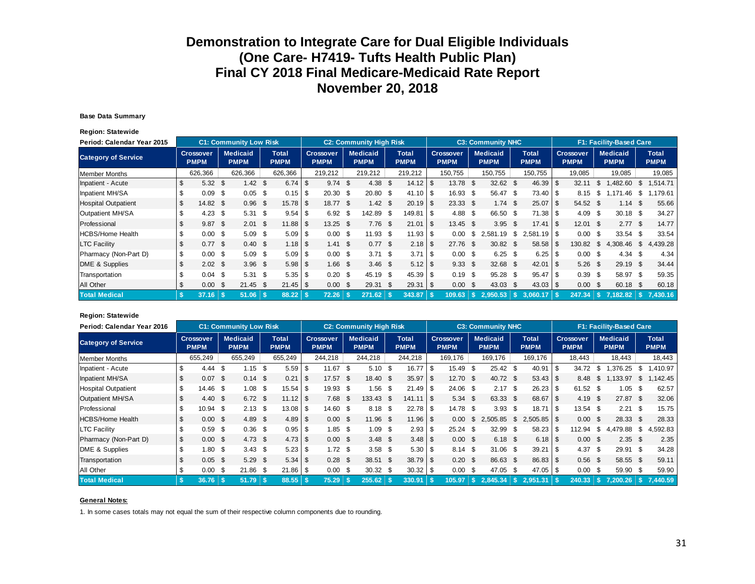#### **Base Data Summary**

**Region: Statewide**

| Period: Calendar Year 2015 |     |                                 |      | <b>C1: Community Low Risk</b>  |      |                      |                                 | <b>C2: Community High Risk</b> |      |                             |      |                                 |      | <b>C3: Community NHC</b>       |      |                             |                |                          |    | <b>F1: Facility-Based Care</b> |      |                             |
|----------------------------|-----|---------------------------------|------|--------------------------------|------|----------------------|---------------------------------|--------------------------------|------|-----------------------------|------|---------------------------------|------|--------------------------------|------|-----------------------------|----------------|--------------------------|----|--------------------------------|------|-----------------------------|
| <b>Category of Service</b> |     | <b>Crossover</b><br><b>PMPM</b> |      | <b>Medicaid</b><br><b>PMPM</b> |      | Total<br><b>PMPM</b> | <b>Crossover</b><br><b>PMPM</b> | <b>Medicaid</b><br><b>PMPM</b> |      | <b>Total</b><br><b>PMPM</b> |      | <b>Crossover</b><br><b>PMPM</b> |      | <b>Medicaid</b><br><b>PMPM</b> |      | <b>Total</b><br><b>PMPM</b> |                | Crossover<br><b>PMPM</b> |    | <b>Medicaid</b><br><b>PMPM</b> |      | <b>Total</b><br><b>PMPM</b> |
| <b>Member Months</b>       |     | 626,366                         |      | 626,366                        |      | 626,366              | 219,212                         | 219,212                        |      | 219,212                     |      | 150.755                         |      | 150.755                        |      | 150,755                     |                | 19,085                   |    | 19,085                         |      | 19,085                      |
| Inpatient - Acute          | S   | 5.32                            | \$   | 1.42 $\sqrt{3}$                |      | $6.74$ \ \ \$        | $9.74$ \$                       | 4.38                           | \$   | 14.12                       | \$   | 13.78                           | - \$ | $32.62$ \$                     |      | $46.39$ \ \$                |                | 32.11                    | S. | ,482.60                        | S.   | 1,514.71                    |
| Inpatient MH/SA            |     | 0.09                            | \$   | $0.05$ \$                      |      |                      | 20.30 <sup>5</sup>              | $20.80\quad$ \$                |      | 41.10                       | \$   | 16.93 \$                        |      | 56.47 \$                       |      | $73.40$ \$                  |                | 8.15                     | \$ | .46<br>171                     | \$   | .179.61                     |
| <b>Hospital Outpatient</b> | \$  | 14.82 \$                        |      | 0.96                           | - \$ |                      | 18.77 \$                        | 1.42                           | - \$ | 20.19                       | -\$  | $23.33$ \$                      |      | $1.74$ \$                      |      |                             |                | 54.52 \$                 |    | 1.14                           | - \$ | 55.66                       |
| Outpatient MH/SA           |     | 4.23                            | \$   | $5.31 \text{ } $s$             |      |                      | 6.92 <sup>5</sup>               | 142.89 \$                      |      | 149.81                      | \$   | 4.88                            | - \$ | 66.50 \$                       |      |                             |                | 4.09                     | \$ | $30.18$ \$                     |      | 34.27                       |
| Professional               | \$. | 9.87                            | - \$ | 2.01                           | - \$ |                      | $13.25$ \$                      | $7.76$ \$                      |      | 21.01                       | l \$ | 13.45 \$                        |      | $3.95$ \$                      |      | 17.41                       | $\overline{1}$ | $12.01$ \$               |    | $2.77$ \$                      |      | 14.77                       |
| <b>HCBS/Home Health</b>    |     | 0.00                            | \$   | 5.09                           | - \$ |                      | $0.00 \,$ \$                    | $11.93$ \$                     |      | 11.93                       | \$   | 0.00                            | \$   | .19<br>2.581                   | \$   |                             |                | 0.00                     | -S | 33.54                          | - \$ | 33.54                       |
| <b>LTC Facility</b>        | \$  | $0.77$ \$                       |      | $0.40 \text{ }$ \$             |      |                      | $1.41 \text{ } $$               | 0.77S                          |      | 2.18                        | \$   | 27.76 \$                        |      | $30.82$ \$                     |      | 58.58 \$                    |                | 130.82                   | \$ | 4,308.46 \$                    |      | 4,439.28                    |
| Pharmacy (Non-Part D)      | \$  | 0.00                            | - \$ | $5.09$ \$                      |      |                      | $0.00 \,$ \$                    | $3.71 \text{ } $s$             |      | 3.71                        | - \$ | $0.00 \,$ \$                    |      | $6.25$ \$                      |      |                             |                | $0.00 \text{ }$ \$       |    | $4.34$ \$                      |      | 4.34                        |
| DME & Supplies             | \$  | $2.02 \quad$ \$                 |      | $3.96$ \$                      |      |                      | $1.66$ \$                       | $3.46$ \$                      |      | 5.12                        | \$   | 9.33                            | - \$ | 32.68 \$                       |      | $42.01$   \$                |                | $5.26$ \$                |    | 29.19 \$                       |      | 34.44                       |
| Transportation             |     | 0.04                            | - \$ | $5.31$ \$                      |      |                      | $0.20$ \$                       | 45.19 \$                       |      | 45.39                       | \$   | 0.19                            | - \$ | 95.28 \$                       |      | $95.47$ \ \ \$              |                | $0.39$ \$                |    | 58.97 \$                       |      | 59.35                       |
| All Other                  | \$  | 0.00                            | -S   | $21.45$ \$                     |      |                      | $0.00 \text{ }$ \$              | $29.31$ \$                     |      | 29.31                       | - \$ | 0.00                            | - \$ | 43.03                          | - \$ |                             |                | $0.00 \text{ }$ \$       |    | 60.18 \$                       |      | 60.18                       |
| <b>Total Medical</b>       | -S  | 37.16                           |      | $51.06$ \ \$                   |      | $88.22$ \$           | 72.26                           | 271.62                         |      | 343.87                      |      | 109.63                          |      | 2.950.53                       | -S   | 3.060.17                    |                | 247.34                   |    | $7.182.82$ \ \$                |      | 7.430.16                    |

#### **Region: Statewide**

| Period: Calendar Year 2016 |     |                                 |      | <b>C1: Community Low Risk</b>  |      |                      |     |                                 |      | <b>C2: Community High Risk</b> |                                    |      |                                 |      | <b>C3: Community NHC</b>       |      |                             |      |                                 |      | <b>F1: Facility-Based Care</b>       |          |                             |
|----------------------------|-----|---------------------------------|------|--------------------------------|------|----------------------|-----|---------------------------------|------|--------------------------------|------------------------------------|------|---------------------------------|------|--------------------------------|------|-----------------------------|------|---------------------------------|------|--------------------------------------|----------|-----------------------------|
| <b>Category of Service</b> |     | <b>Crossover</b><br><b>PMPM</b> |      | <b>Medicaid</b><br><b>PMPM</b> |      | Total<br><b>PMPM</b> |     | <b>Crossover</b><br><b>PMPM</b> |      | <b>Medicaid</b><br><b>PMPM</b> | <b>Total</b><br><b>PMPM</b>        |      | <b>Crossover</b><br><b>PMPM</b> |      | <b>Medicaid</b><br><b>PMPM</b> |      | <b>Total</b><br><b>PMPM</b> |      | <b>Crossover</b><br><b>PMPM</b> |      | <b>Medicaid</b><br><b>PMPM</b>       |          | <b>Total</b><br><b>PMPM</b> |
| <b>Member Months</b>       |     | 655,249                         |      | 655,249                        |      | 655,249              |     | 244.218                         |      | 244,218                        | 244,218                            |      | 169.176                         |      | 169.176                        |      | 169,176                     |      | 18.443                          |      | 18,443                               |          | 18,443                      |
| Inpatient - Acute          |     | 4.44                            | \$   | 1.15                           | - \$ | 5.59                 | -\$ | 11.67                           | - \$ | $5.10$ \$                      | 16.77                              | \$.  | 15.49                           | S.   | $25.42$ \$                     |      | 40.91                       |      | 34.72 \$                        |      | .376.25                              | -S       | .410.97                     |
| Inpatient MH/SA            | \$  | 0.07                            | - \$ | $0.14$ \$                      |      | 0.21                 | -\$ | $17.57$ \$                      |      | $18.40 \text{ }$ \$            | $35.97$ \$                         |      | $12.70$ \$                      |      | 40.72 \$                       |      | $53.43$ \\$                 |      | 8.48                            | \$   | ,133.97                              | \$       | .142.45                     |
| <b>Hospital Outpatient</b> | \$. | 14.46                           | \$   | 1.08                           | - \$ | $15.54$ \\$          |     | 19.93 \$                        |      | $1.56$ \$                      |                                    |      | 24.06 \$                        |      | 2.17                           | \$   |                             |      | 61.52 \$                        |      | 1.05                                 | - \$     | 62.57                       |
| Outpatient MH/SA           | \$  | 4.40                            | \$   | $6.72$ \$                      |      |                      |     | $7.68$ \$                       |      | 133.43 \$                      | $141.11$ $\overline{\phantom{1}5}$ |      | 5.34                            | -\$  | 63.33 \$                       |      | $68.67$ \ \ \$              |      | 4.19 \$                         |      | 27.87 \$                             |          | 32.06                       |
| Professional               | \$  | 10.94                           | -\$  | $2.13$ \$                      |      | $13.08$ \$           |     | 14.60 \$                        |      | $8.18$ \$                      |                                    |      | 14.78                           | -\$  | 3.93                           | -S   | 18.71                       | l \$ | 13.54 \$                        |      | $2.21 \text{ } $s$                   |          | 15.75                       |
| <b>HCBS/Home Health</b>    | \$  | $0.00\ 5$                       |      | $4.89$ \$                      |      | $4.89$ \ \$          |     | $0.00 \text{ }$ \$              |      | $11.96$ \$                     |                                    |      | 0.00                            | \$   | 2,505.85                       | \$   | $2,505.85$ \\$              |      | $0.00 \text{ }$ \$              |      | $28.33$ \$                           |          | 28.33                       |
| <b>LTC Facility</b>        |     | 0.59                            | \$   | $0.36$ \$                      |      | $0.95$   \$          |     | $1.85$ \$                       |      | $1.09$ \$                      | 2.93                               | -\$  | 25.24                           | -\$  | 32.99                          | S.   | $58.23$ \$                  |      | 112.94                          | - \$ | 4.479.88                             | \$       | 4,592.83                    |
| Pharmacy (Non-Part D)      | \$  | $0.00 \,$ \$                    |      | $4.73$ \$                      |      |                      |     | $0.00 \text{ }$ \$              |      | $3.48 \quad $$                 |                                    |      | $0.00 \text{ }$ \$              |      | $6.18$ \$                      |      |                             |      | $0.00 \,$ \$                    |      | $2.35$ \$                            |          | 2.35                        |
| DME & Supplies             | \$. | 1.80                            | - \$ | $3.43 \quad $$                 |      |                      |     | 1.72 <sup>5</sup>               |      | $3.58$ \$                      | $5.30$ \ \ \$                      |      | 8.14                            | - \$ | $31.06$ \$                     |      |                             |      | 4.37 <sup>5</sup>               |      | $29.91$ \$                           |          | 34.28                       |
| Transportation             |     | $0.05$ \$                       |      | $5.29$ \$                      |      |                      |     | $0.28$ \$                       |      | 38.51 \$                       |                                    |      | 0.20                            | - \$ | 86.63 \$                       |      |                             |      | $0.56$ \$                       |      | $58.55$ \$                           |          | 59.11                       |
| All Other                  | \$. | 0.00                            | - \$ | 21.86 \$                       |      |                      |     | $0.00 \,$ \$                    |      | $30.32$ \$                     | 30.32                              | - \$ | 0.00                            | -\$  | 47.05                          | - \$ | $47.05$ \$                  |      | $0.00 \text{ }$ \$              |      | 59.90                                | <b>S</b> | 59.90                       |
| <b>Total Medical</b>       |     | 36.76                           |      | $51.79$ $\sqrt{5}$             |      | 88.55                |     | 75.29                           |      | $255.62$ \$                    | 330.91                             | l S  |                                 |      | $105.97$ \$ 2,845.34 \$        |      | $2.951.31$ S                |      |                                 |      | $240.33$   \$ 7.200.26   \$ 7.440.59 |          |                             |

#### **General Notes:**